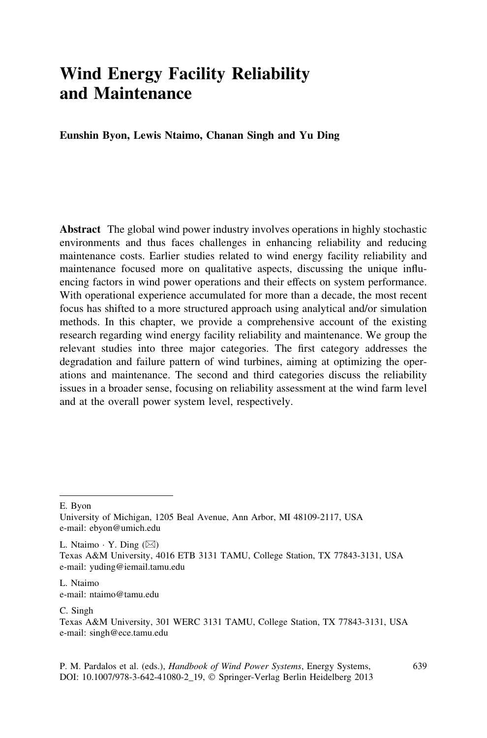# Wind Energy Facility Reliability and Maintenance

Eunshin Byon, Lewis Ntaimo, Chanan Singh and Yu Ding

Abstract The global wind power industry involves operations in highly stochastic environments and thus faces challenges in enhancing reliability and reducing maintenance costs. Earlier studies related to wind energy facility reliability and maintenance focused more on qualitative aspects, discussing the unique influencing factors in wind power operations and their effects on system performance. With operational experience accumulated for more than a decade, the most recent focus has shifted to a more structured approach using analytical and/or simulation methods. In this chapter, we provide a comprehensive account of the existing research regarding wind energy facility reliability and maintenance. We group the relevant studies into three major categories. The first category addresses the degradation and failure pattern of wind turbines, aiming at optimizing the operations and maintenance. The second and third categories discuss the reliability issues in a broader sense, focusing on reliability assessment at the wind farm level and at the overall power system level, respectively.

L. Ntaimo e-mail: ntaimo@tamu.edu

C. Singh

E. Byon

University of Michigan, 1205 Beal Avenue, Ann Arbor, MI 48109-2117, USA e-mail: ebyon@umich.edu

L. Ntaimo  $\cdot$  Y. Ding  $(\boxtimes)$ Texas A&M University, 4016 ETB 3131 TAMU, College Station, TX 77843-3131, USA e-mail: yuding@iemail.tamu.edu

Texas A&M University, 301 WERC 3131 TAMU, College Station, TX 77843-3131, USA e-mail: singh@ece.tamu.edu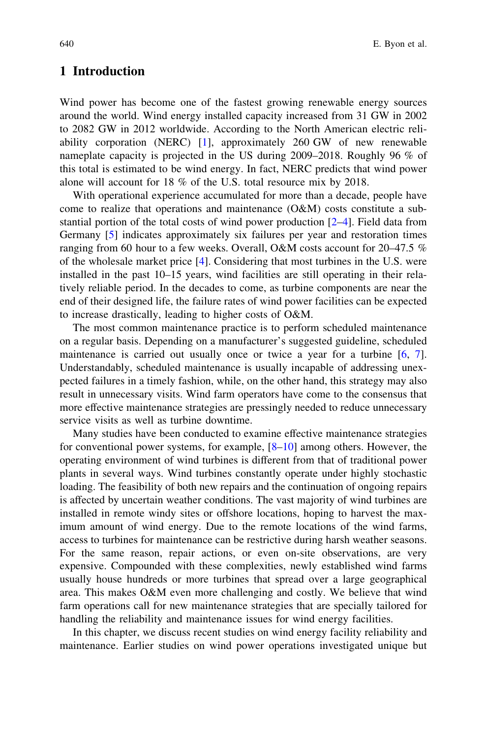# 1 Introduction

Wind power has become one of the fastest growing renewable energy sources around the world. Wind energy installed capacity increased from 31 GW in 2002 to 2082 GW in 2012 worldwide. According to the North American electric reliability corporation (NERC) [\[1](#page-28-0)], approximately 260 GW of new renewable nameplate capacity is projected in the US during 2009–2018. Roughly 96 % of this total is estimated to be wind energy. In fact, NERC predicts that wind power alone will account for 18 % of the U.S. total resource mix by 2018.

With operational experience accumulated for more than a decade, people have come to realize that operations and maintenance (O&M) costs constitute a substantial portion of the total costs of wind power production [\[2](#page-28-0)[–4](#page-29-0)]. Field data from Germany [\[5](#page-29-0)] indicates approximately six failures per year and restoration times ranging from 60 hour to a few weeks. Overall, O&M costs account for 20–47.5 % of the wholesale market price [[4\]](#page-29-0). Considering that most turbines in the U.S. were installed in the past 10–15 years, wind facilities are still operating in their relatively reliable period. In the decades to come, as turbine components are near the end of their designed life, the failure rates of wind power facilities can be expected to increase drastically, leading to higher costs of O&M.

The most common maintenance practice is to perform scheduled maintenance on a regular basis. Depending on a manufacturer's suggested guideline, scheduled maintenance is carried out usually once or twice a year for a turbine [\[6](#page-29-0), [7\]](#page-29-0). Understandably, scheduled maintenance is usually incapable of addressing unexpected failures in a timely fashion, while, on the other hand, this strategy may also result in unnecessary visits. Wind farm operators have come to the consensus that more effective maintenance strategies are pressingly needed to reduce unnecessary service visits as well as turbine downtime.

Many studies have been conducted to examine effective maintenance strategies for conventional power systems, for example, [\[8–10](#page-29-0)] among others. However, the operating environment of wind turbines is different from that of traditional power plants in several ways. Wind turbines constantly operate under highly stochastic loading. The feasibility of both new repairs and the continuation of ongoing repairs is affected by uncertain weather conditions. The vast majority of wind turbines are installed in remote windy sites or offshore locations, hoping to harvest the maximum amount of wind energy. Due to the remote locations of the wind farms, access to turbines for maintenance can be restrictive during harsh weather seasons. For the same reason, repair actions, or even on-site observations, are very expensive. Compounded with these complexities, newly established wind farms usually house hundreds or more turbines that spread over a large geographical area. This makes O&M even more challenging and costly. We believe that wind farm operations call for new maintenance strategies that are specially tailored for handling the reliability and maintenance issues for wind energy facilities.

In this chapter, we discuss recent studies on wind energy facility reliability and maintenance. Earlier studies on wind power operations investigated unique but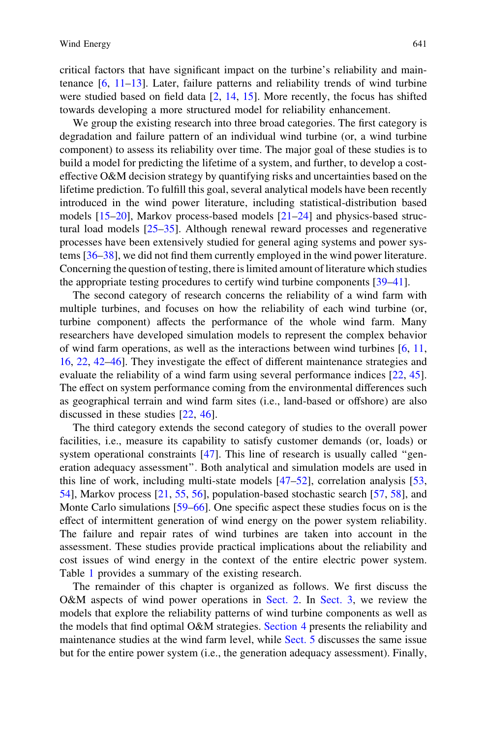critical factors that have significant impact on the turbine's reliability and maintenance  $[6, 11-13]$  $[6, 11-13]$  $[6, 11-13]$ . Later, failure patterns and reliability trends of wind turbine were studied based on field data [[2,](#page-28-0) [14](#page-29-0), [15](#page-29-0)]. More recently, the focus has shifted towards developing a more structured model for reliability enhancement.

We group the existing research into three broad categories. The first category is degradation and failure pattern of an individual wind turbine (or, a wind turbine component) to assess its reliability over time. The major goal of these studies is to build a model for predicting the lifetime of a system, and further, to develop a costeffective O&M decision strategy by quantifying risks and uncertainties based on the lifetime prediction. To fulfill this goal, several analytical models have been recently introduced in the wind power literature, including statistical-distribution based models [[15–20](#page-29-0)], Markov process-based models [[21–24\]](#page-29-0) and physics-based structural load models [[25–](#page-29-0)[35\]](#page-30-0). Although renewal reward processes and regenerative processes have been extensively studied for general aging systems and power systems [\[36–38](#page-30-0)], we did not find them currently employed in the wind power literature. Concerning the question of testing, there is limited amount of literature which studies the appropriate testing procedures to certify wind turbine components [[39–41\]](#page-30-0).

The second category of research concerns the reliability of a wind farm with multiple turbines, and focuses on how the reliability of each wind turbine (or, turbine component) affects the performance of the whole wind farm. Many researchers have developed simulation models to represent the complex behavior of wind farm operations, as well as the interactions between wind turbines  $[6, 11, 1]$  $[6, 11, 1]$  $[6, 11, 1]$  $[6, 11, 1]$  $[6, 11, 1]$ [16,](#page-29-0) [22](#page-29-0), [42–46\]](#page-30-0). They investigate the effect of different maintenance strategies and evaluate the reliability of a wind farm using several performance indices [\[22](#page-29-0), [45\]](#page-30-0). The effect on system performance coming from the environmental differences such as geographical terrain and wind farm sites (i.e., land-based or offshore) are also discussed in these studies [[22,](#page-29-0) [46\]](#page-30-0).

The third category extends the second category of studies to the overall power facilities, i.e., measure its capability to satisfy customer demands (or, loads) or system operational constraints [[47\]](#page-30-0). This line of research is usually called "generation adequacy assessment''. Both analytical and simulation models are used in this line of work, including multi-state models  $[47-52]$  $[47-52]$ , correlation analysis  $[53]$  $[53]$ , [54\]](#page-31-0), Markov process [[21,](#page-29-0) [55,](#page-31-0) [56](#page-31-0)], population-based stochastic search [\[57](#page-31-0), [58](#page-31-0)], and Monte Carlo simulations [[59–66\]](#page-31-0). One specific aspect these studies focus on is the effect of intermittent generation of wind energy on the power system reliability. The failure and repair rates of wind turbines are taken into account in the assessment. These studies provide practical implications about the reliability and cost issues of wind energy in the context of the entire electric power system. Table [1](#page-3-0) provides a summary of the existing research.

The remainder of this chapter is organized as follows. We first discuss the O&M aspects of wind power operations in [Sect. 2.](#page-3-0) In [Sect. 3,](#page-9-0) we review the models that explore the reliability patterns of wind turbine components as well as the models that find optimal O&M strategies. [Section 4](#page-20-0) presents the reliability and maintenance studies at the wind farm level, while [Sect. 5](#page-22-0) discusses the same issue but for the entire power system (i.e., the generation adequacy assessment). Finally,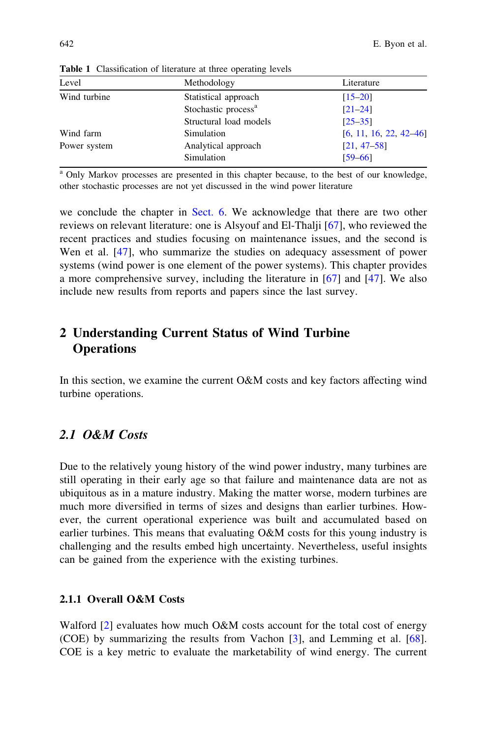| Level        | Methodology                     | Literature               |  |  |
|--------------|---------------------------------|--------------------------|--|--|
| Wind turbine | Statistical approach            | $[15 - 20]$              |  |  |
|              | Stochastic process <sup>a</sup> | $[21 - 24]$              |  |  |
|              | Structural load models          | $[25 - 35]$              |  |  |
| Wind farm    | Simulation                      | $[6, 11, 16, 22, 42-46]$ |  |  |
| Power system | Analytical approach             | $[21, 47 - 58]$          |  |  |
|              | Simulation                      | $[59 - 66]$              |  |  |

<span id="page-3-0"></span>Table 1 Classification of literature at three operating levels

<sup>a</sup> Only Markov processes are presented in this chapter because, to the best of our knowledge, other stochastic processes are not yet discussed in the wind power literature

we conclude the chapter in [Sect. 6](#page-28-0). We acknowledge that there are two other reviews on relevant literature: one is Alsyouf and El-Thalji [\[67](#page-31-0)], who reviewed the recent practices and studies focusing on maintenance issues, and the second is Wen et al. [[47\]](#page-30-0), who summarize the studies on adequacy assessment of power systems (wind power is one element of the power systems). This chapter provides a more comprehensive survey, including the literature in [\[67](#page-31-0)] and [[47\]](#page-30-0). We also include new results from reports and papers since the last survey.

# 2 Understanding Current Status of Wind Turbine **Operations**

In this section, we examine the current O&M costs and key factors affecting wind turbine operations.

# 2.1 O&M Costs

Due to the relatively young history of the wind power industry, many turbines are still operating in their early age so that failure and maintenance data are not as ubiquitous as in a mature industry. Making the matter worse, modern turbines are much more diversified in terms of sizes and designs than earlier turbines. However, the current operational experience was built and accumulated based on earlier turbines. This means that evaluating O&M costs for this young industry is challenging and the results embed high uncertainty. Nevertheless, useful insights can be gained from the experience with the existing turbines.

### 2.1.1 Overall O&M Costs

Walford [[2\]](#page-28-0) evaluates how much O&M costs account for the total cost of energy (COE) by summarizing the results from Vachon [\[3](#page-28-0)], and Lemming et al. [[68\]](#page-31-0). COE is a key metric to evaluate the marketability of wind energy. The current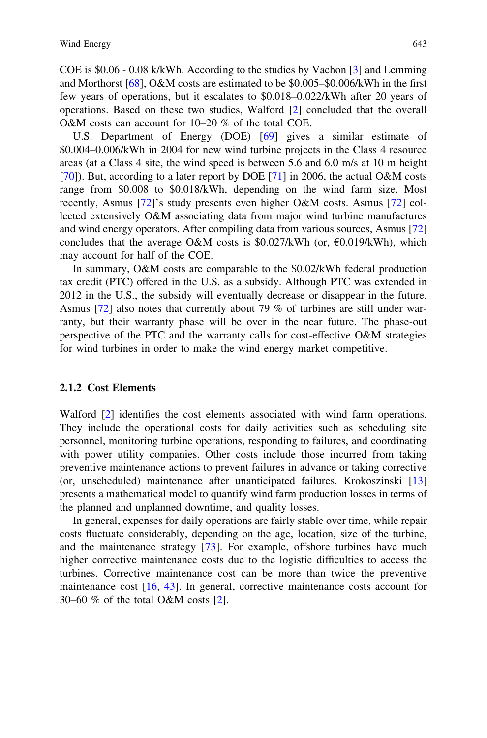COE is \$0.06 - 0.08 k/kWh. According to the studies by Vachon [[3\]](#page-28-0) and Lemming and Morthorst [\[68](#page-31-0)], O&M costs are estimated to be \$0.005–\$0.006/kWh in the first few years of operations, but it escalates to \$0.018–0.022/kWh after 20 years of operations. Based on these two studies, Walford [\[2](#page-28-0)] concluded that the overall O&M costs can account for 10–20 % of the total COE.

U.S. Department of Energy (DOE) [[69\]](#page-31-0) gives a similar estimate of \$0.004–0.006/kWh in 2004 for new wind turbine projects in the Class 4 resource areas (at a Class 4 site, the wind speed is between 5.6 and 6.0 m/s at 10 m height [\[70](#page-31-0)]). But, according to a later report by DOE [\[71](#page-31-0)] in 2006, the actual  $O\&M$  costs range from \$0.008 to \$0.018/kWh, depending on the wind farm size. Most recently, Asmus [\[72\]](#page-32-0)'s study presents even higher O&M costs. Asmus [[72\]](#page-32-0) collected extensively O&M associating data from major wind turbine manufactures and wind energy operators. After compiling data from various sources, Asmus [\[72](#page-32-0)] concludes that the average O&M costs is \$0.027/kWh (or,  $\epsilon$ 0.019/kWh), which may account for half of the COE.

In summary, O&M costs are comparable to the \$0.02/kWh federal production tax credit (PTC) offered in the U.S. as a subsidy. Although PTC was extended in 2012 in the U.S., the subsidy will eventually decrease or disappear in the future. Asmus [\[72](#page-32-0)] also notes that currently about 79 % of turbines are still under warranty, but their warranty phase will be over in the near future. The phase-out perspective of the PTC and the warranty calls for cost-effective O&M strategies for wind turbines in order to make the wind energy market competitive.

#### 2.1.2 Cost Elements

Walford [[2\]](#page-28-0) identifies the cost elements associated with wind farm operations. They include the operational costs for daily activities such as scheduling site personnel, monitoring turbine operations, responding to failures, and coordinating with power utility companies. Other costs include those incurred from taking preventive maintenance actions to prevent failures in advance or taking corrective (or, unscheduled) maintenance after unanticipated failures. Krokoszinski [\[13](#page-29-0)] presents a mathematical model to quantify wind farm production losses in terms of the planned and unplanned downtime, and quality losses.

In general, expenses for daily operations are fairly stable over time, while repair costs fluctuate considerably, depending on the age, location, size of the turbine, and the maintenance strategy [\[73](#page-32-0)]. For example, offshore turbines have much higher corrective maintenance costs due to the logistic difficulties to access the turbines. Corrective maintenance cost can be more than twice the preventive maintenance cost [[16,](#page-29-0) [43](#page-30-0)]. In general, corrective maintenance costs account for 30–60 % of the total O&M costs [[2\]](#page-28-0).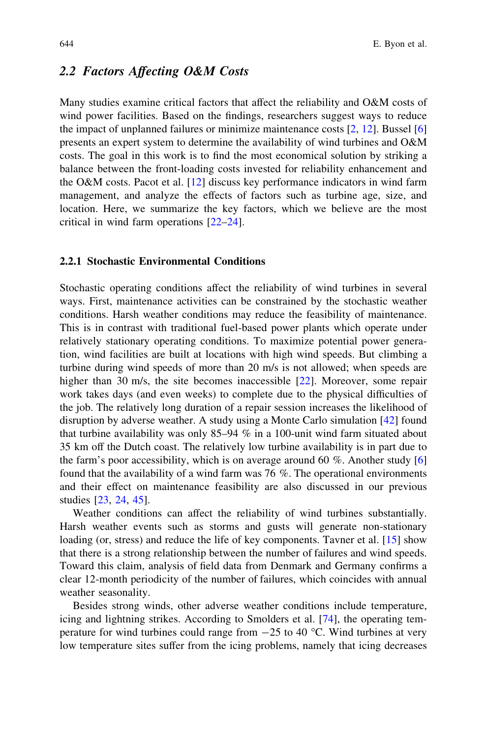# 2.2 Factors Affecting O&M Costs

Many studies examine critical factors that affect the reliability and O&M costs of wind power facilities. Based on the findings, researchers suggest ways to reduce the impact of unplanned failures or minimize maintenance costs [\[2](#page-28-0), [12](#page-29-0)]. Bussel [\[6](#page-29-0)] presents an expert system to determine the availability of wind turbines and O&M costs. The goal in this work is to find the most economical solution by striking a balance between the front-loading costs invested for reliability enhancement and the O&M costs. Pacot et al. [\[12](#page-29-0)] discuss key performance indicators in wind farm management, and analyze the effects of factors such as turbine age, size, and location. Here, we summarize the key factors, which we believe are the most critical in wind farm operations [\[22–24](#page-29-0)].

## 2.2.1 Stochastic Environmental Conditions

Stochastic operating conditions affect the reliability of wind turbines in several ways. First, maintenance activities can be constrained by the stochastic weather conditions. Harsh weather conditions may reduce the feasibility of maintenance. This is in contrast with traditional fuel-based power plants which operate under relatively stationary operating conditions. To maximize potential power generation, wind facilities are built at locations with high wind speeds. But climbing a turbine during wind speeds of more than 20 m/s is not allowed; when speeds are higher than 30 m/s, the site becomes inaccessible [\[22](#page-29-0)]. Moreover, some repair work takes days (and even weeks) to complete due to the physical difficulties of the job. The relatively long duration of a repair session increases the likelihood of disruption by adverse weather. A study using a Monte Carlo simulation [\[42](#page-30-0)] found that turbine availability was only 85–94 % in a 100-unit wind farm situated about 35 km off the Dutch coast. The relatively low turbine availability is in part due to the farm's poor accessibility, which is on average around 60 %. Another study  $[6]$  $[6]$ found that the availability of a wind farm was 76 %. The operational environments and their effect on maintenance feasibility are also discussed in our previous studies [\[23](#page-29-0), [24](#page-29-0), [45\]](#page-30-0).

Weather conditions can affect the reliability of wind turbines substantially. Harsh weather events such as storms and gusts will generate non-stationary loading (or, stress) and reduce the life of key components. Tavner et al. [\[15](#page-29-0)] show that there is a strong relationship between the number of failures and wind speeds. Toward this claim, analysis of field data from Denmark and Germany confirms a clear 12-month periodicity of the number of failures, which coincides with annual weather seasonality.

Besides strong winds, other adverse weather conditions include temperature, icing and lightning strikes. According to Smolders et al. [\[74](#page-32-0)], the operating temperature for wind turbines could range from  $-25$  to 40 °C. Wind turbines at very low temperature sites suffer from the icing problems, namely that icing decreases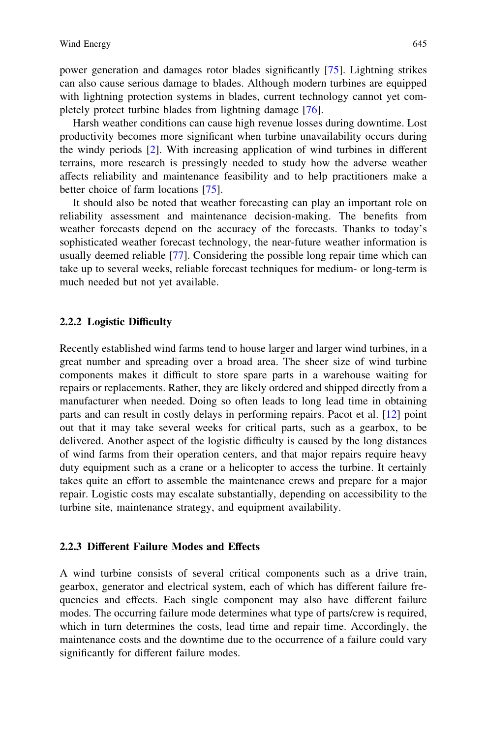power generation and damages rotor blades significantly [\[75](#page-32-0)]. Lightning strikes can also cause serious damage to blades. Although modern turbines are equipped with lightning protection systems in blades, current technology cannot yet completely protect turbine blades from lightning damage [\[76](#page-32-0)].

Harsh weather conditions can cause high revenue losses during downtime. Lost productivity becomes more significant when turbine unavailability occurs during the windy periods [\[2](#page-28-0)]. With increasing application of wind turbines in different terrains, more research is pressingly needed to study how the adverse weather affects reliability and maintenance feasibility and to help practitioners make a better choice of farm locations [[75\]](#page-32-0).

It should also be noted that weather forecasting can play an important role on reliability assessment and maintenance decision-making. The benefits from weather forecasts depend on the accuracy of the forecasts. Thanks to today's sophisticated weather forecast technology, the near-future weather information is usually deemed reliable [[77\]](#page-32-0). Considering the possible long repair time which can take up to several weeks, reliable forecast techniques for medium- or long-term is much needed but not yet available.

#### 2.2.2 Logistic Difficulty

Recently established wind farms tend to house larger and larger wind turbines, in a great number and spreading over a broad area. The sheer size of wind turbine components makes it difficult to store spare parts in a warehouse waiting for repairs or replacements. Rather, they are likely ordered and shipped directly from a manufacturer when needed. Doing so often leads to long lead time in obtaining parts and can result in costly delays in performing repairs. Pacot et al. [\[12](#page-29-0)] point out that it may take several weeks for critical parts, such as a gearbox, to be delivered. Another aspect of the logistic difficulty is caused by the long distances of wind farms from their operation centers, and that major repairs require heavy duty equipment such as a crane or a helicopter to access the turbine. It certainly takes quite an effort to assemble the maintenance crews and prepare for a major repair. Logistic costs may escalate substantially, depending on accessibility to the turbine site, maintenance strategy, and equipment availability.

## 2.2.3 Different Failure Modes and Effects

A wind turbine consists of several critical components such as a drive train, gearbox, generator and electrical system, each of which has different failure frequencies and effects. Each single component may also have different failure modes. The occurring failure mode determines what type of parts/crew is required, which in turn determines the costs, lead time and repair time. Accordingly, the maintenance costs and the downtime due to the occurrence of a failure could vary significantly for different failure modes.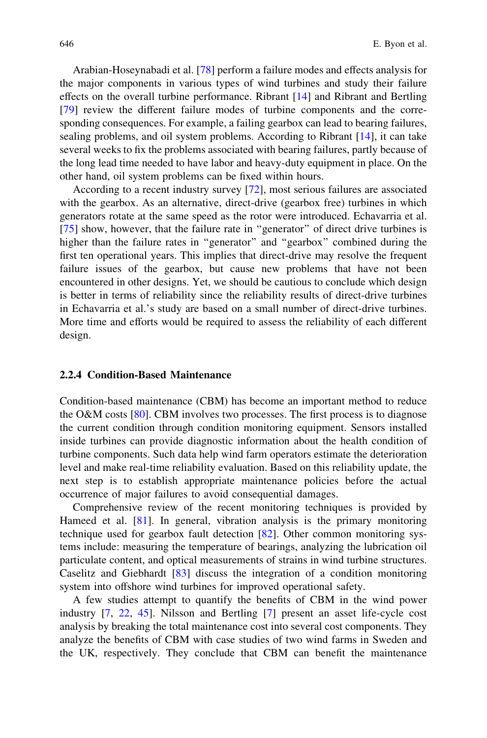<span id="page-7-0"></span>Arabian-Hoseynabadi et al. [[78\]](#page-32-0) perform a failure modes and effects analysis for the major components in various types of wind turbines and study their failure effects on the overall turbine performance. Ribrant [[14\]](#page-29-0) and Ribrant and Bertling [\[79](#page-32-0)] review the different failure modes of turbine components and the corresponding consequences. For example, a failing gearbox can lead to bearing failures, sealing problems, and oil system problems. According to Ribrant [[14\]](#page-29-0), it can take several weeks to fix the problems associated with bearing failures, partly because of the long lead time needed to have labor and heavy-duty equipment in place. On the other hand, oil system problems can be fixed within hours.

According to a recent industry survey [\[72](#page-32-0)], most serious failures are associated with the gearbox. As an alternative, direct-drive (gearbox free) turbines in which generators rotate at the same speed as the rotor were introduced. Echavarria et al. [\[75](#page-32-0)] show, however, that the failure rate in "generator" of direct drive turbines is higher than the failure rates in "generator" and "gearbox" combined during the first ten operational years. This implies that direct-drive may resolve the frequent failure issues of the gearbox, but cause new problems that have not been encountered in other designs. Yet, we should be cautious to conclude which design is better in terms of reliability since the reliability results of direct-drive turbines in Echavarria et al.'s study are based on a small number of direct-drive turbines. More time and efforts would be required to assess the reliability of each different design.

## 2.2.4 Condition-Based Maintenance

Condition-based maintenance (CBM) has become an important method to reduce the O&M costs [\[80\]](#page-32-0). CBM involves two processes. The first process is to diagnose the current condition through condition monitoring equipment. Sensors installed inside turbines can provide diagnostic information about the health condition of turbine components. Such data help wind farm operators estimate the deterioration level and make real-time reliability evaluation. Based on this reliability update, the next step is to establish appropriate maintenance policies before the actual occurrence of major failures to avoid consequential damages.

Comprehensive review of the recent monitoring techniques is provided by Hameed et al. [\[81](#page-32-0)]. In general, vibration analysis is the primary monitoring technique used for gearbox fault detection [\[82](#page-32-0)]. Other common monitoring systems include: measuring the temperature of bearings, analyzing the lubrication oil particulate content, and optical measurements of strains in wind turbine structures. Caselitz and Giebhardt [[83\]](#page-32-0) discuss the integration of a condition monitoring system into offshore wind turbines for improved operational safety.

A few studies attempt to quantify the benefits of CBM in the wind power industry [[7,](#page-29-0) [22](#page-29-0), [45\]](#page-30-0). Nilsson and Bertling [[7\]](#page-29-0) present an asset life-cycle cost analysis by breaking the total maintenance cost into several cost components. They analyze the benefits of CBM with case studies of two wind farms in Sweden and the UK, respectively. They conclude that CBM can benefit the maintenance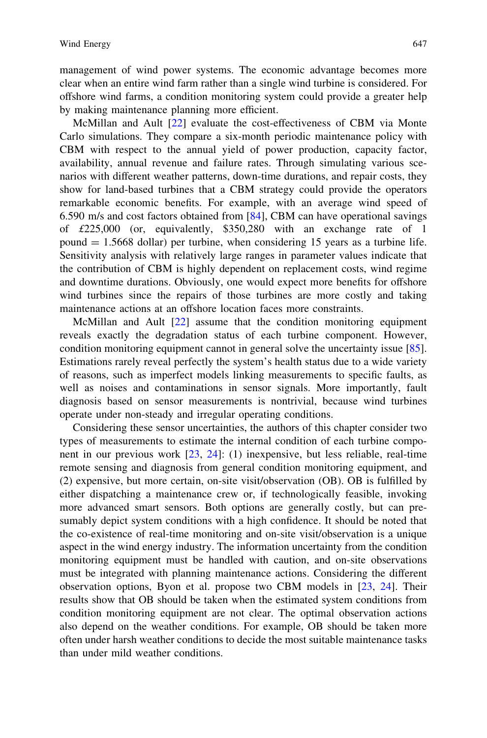management of wind power systems. The economic advantage becomes more clear when an entire wind farm rather than a single wind turbine is considered. For offshore wind farms, a condition monitoring system could provide a greater help by making maintenance planning more efficient.

McMillan and Ault [[22\]](#page-29-0) evaluate the cost-effectiveness of CBM via Monte Carlo simulations. They compare a six-month periodic maintenance policy with CBM with respect to the annual yield of power production, capacity factor, availability, annual revenue and failure rates. Through simulating various scenarios with different weather patterns, down-time durations, and repair costs, they show for land-based turbines that a CBM strategy could provide the operators remarkable economic benefits. For example, with an average wind speed of 6.590 m/s and cost factors obtained from [[84\]](#page-32-0), CBM can have operational savings of  $\text{\textsterling}225,000$  (or, equivalently, \$350,280 with an exchange rate of 1 pound  $= 1.5668$  dollar) per turbine, when considering 15 years as a turbine life. Sensitivity analysis with relatively large ranges in parameter values indicate that the contribution of CBM is highly dependent on replacement costs, wind regime and downtime durations. Obviously, one would expect more benefits for offshore wind turbines since the repairs of those turbines are more costly and taking maintenance actions at an offshore location faces more constraints.

McMillan and Ault [[22\]](#page-29-0) assume that the condition monitoring equipment reveals exactly the degradation status of each turbine component. However, condition monitoring equipment cannot in general solve the uncertainty issue [[85\]](#page-32-0). Estimations rarely reveal perfectly the system's health status due to a wide variety of reasons, such as imperfect models linking measurements to specific faults, as well as noises and contaminations in sensor signals. More importantly, fault diagnosis based on sensor measurements is nontrivial, because wind turbines operate under non-steady and irregular operating conditions.

Considering these sensor uncertainties, the authors of this chapter consider two types of measurements to estimate the internal condition of each turbine component in our previous work [\[23](#page-29-0), [24\]](#page-29-0): (1) inexpensive, but less reliable, real-time remote sensing and diagnosis from general condition monitoring equipment, and (2) expensive, but more certain, on-site visit/observation (OB). OB is fulfilled by either dispatching a maintenance crew or, if technologically feasible, invoking more advanced smart sensors. Both options are generally costly, but can presumably depict system conditions with a high confidence. It should be noted that the co-existence of real-time monitoring and on-site visit/observation is a unique aspect in the wind energy industry. The information uncertainty from the condition monitoring equipment must be handled with caution, and on-site observations must be integrated with planning maintenance actions. Considering the different observation options, Byon et al. propose two CBM models in [\[23](#page-29-0), [24](#page-29-0)]. Their results show that OB should be taken when the estimated system conditions from condition monitoring equipment are not clear. The optimal observation actions also depend on the weather conditions. For example, OB should be taken more often under harsh weather conditions to decide the most suitable maintenance tasks than under mild weather conditions.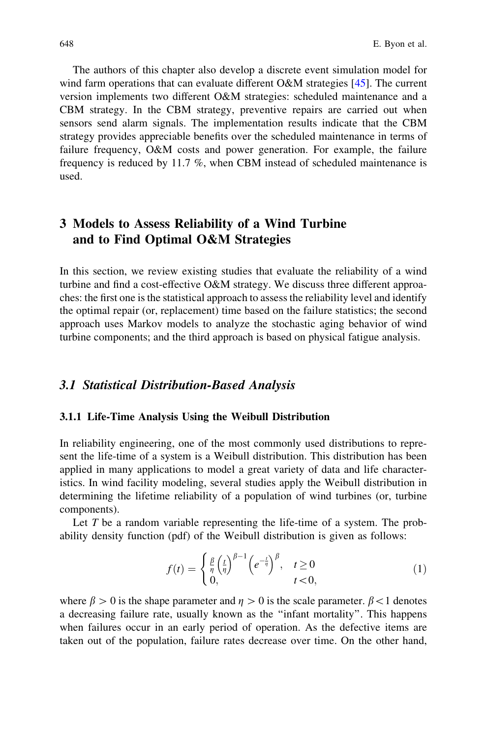<span id="page-9-0"></span>The authors of this chapter also develop a discrete event simulation model for wind farm operations that can evaluate different O&M strategies [\[45](#page-30-0)]. The current version implements two different O&M strategies: scheduled maintenance and a CBM strategy. In the CBM strategy, preventive repairs are carried out when sensors send alarm signals. The implementation results indicate that the CBM strategy provides appreciable benefits over the scheduled maintenance in terms of failure frequency, O&M costs and power generation. For example, the failure frequency is reduced by 11.7 %, when CBM instead of scheduled maintenance is used.

# 3 Models to Assess Reliability of a Wind Turbine and to Find Optimal O&M Strategies

In this section, we review existing studies that evaluate the reliability of a wind turbine and find a cost-effective O&M strategy. We discuss three different approaches: the first one is the statistical approach to assess the reliability level and identify the optimal repair (or, replacement) time based on the failure statistics; the second approach uses Markov models to analyze the stochastic aging behavior of wind turbine components; and the third approach is based on physical fatigue analysis.

## 3.1 Statistical Distribution-Based Analysis

#### 3.1.1 Life-Time Analysis Using the Weibull Distribution

In reliability engineering, one of the most commonly used distributions to represent the life-time of a system is a Weibull distribution. This distribution has been applied in many applications to model a great variety of data and life characteristics. In wind facility modeling, several studies apply the Weibull distribution in determining the lifetime reliability of a population of wind turbines (or, turbine components).

Let T be a random variable representing the life-time of a system. The probability density function (pdf) of the Weibull distribution is given as follows:

$$
f(t) = \begin{cases} \frac{\beta}{\eta} \left(\frac{t}{\eta}\right)^{\beta - 1} \left(e^{-\frac{t}{\eta}}\right)^{\beta}, & t \ge 0\\ 0, & t < 0, \end{cases}
$$
 (1)

where  $\beta > 0$  is the shape parameter and  $\eta > 0$  is the scale parameter.  $\beta < 1$  denotes a decreasing failure rate, usually known as the ''infant mortality''. This happens when failures occur in an early period of operation. As the defective items are taken out of the population, failure rates decrease over time. On the other hand,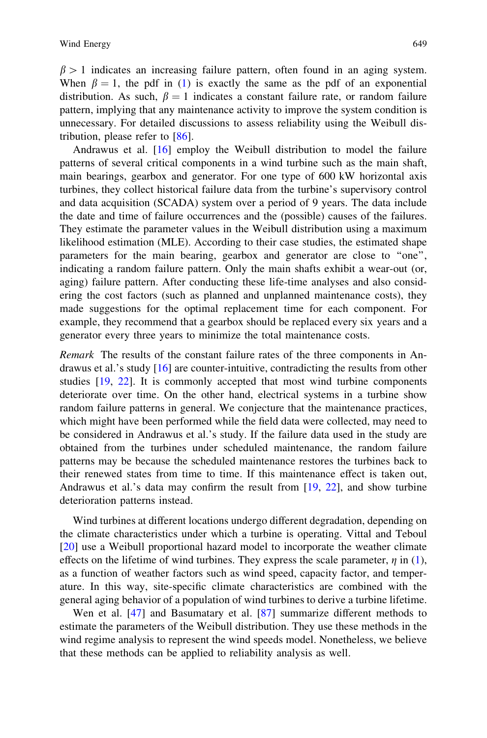$\beta$  > 1 indicates an increasing failure pattern, often found in an aging system. When  $\beta = 1$ , the pdf in ([1\)](#page-9-0) is exactly the same as the pdf of an exponential distribution. As such,  $\beta = 1$  indicates a constant failure rate, or random failure pattern, implying that any maintenance activity to improve the system condition is unnecessary. For detailed discussions to assess reliability using the Weibull distribution, please refer to [\[86](#page-32-0)].

Andrawus et al. [[16\]](#page-29-0) employ the Weibull distribution to model the failure patterns of several critical components in a wind turbine such as the main shaft, main bearings, gearbox and generator. For one type of 600 kW horizontal axis turbines, they collect historical failure data from the turbine's supervisory control and data acquisition (SCADA) system over a period of 9 years. The data include the date and time of failure occurrences and the (possible) causes of the failures. They estimate the parameter values in the Weibull distribution using a maximum likelihood estimation (MLE). According to their case studies, the estimated shape parameters for the main bearing, gearbox and generator are close to ''one'', indicating a random failure pattern. Only the main shafts exhibit a wear-out (or, aging) failure pattern. After conducting these life-time analyses and also considering the cost factors (such as planned and unplanned maintenance costs), they made suggestions for the optimal replacement time for each component. For example, they recommend that a gearbox should be replaced every six years and a generator every three years to minimize the total maintenance costs.

Remark The results of the constant failure rates of the three components in Andrawus et al.'s study [[16\]](#page-29-0) are counter-intuitive, contradicting the results from other studies [[19](#page-29-0), [22\]](#page-29-0). It is commonly accepted that most wind turbine components deteriorate over time. On the other hand, electrical systems in a turbine show random failure patterns in general. We conjecture that the maintenance practices, which might have been performed while the field data were collected, may need to be considered in Andrawus et al.'s study. If the failure data used in the study are obtained from the turbines under scheduled maintenance, the random failure patterns may be because the scheduled maintenance restores the turbines back to their renewed states from time to time. If this maintenance effect is taken out, Andrawus et al.'s data may confirm the result from [\[19](#page-29-0), [22\]](#page-29-0), and show turbine deterioration patterns instead.

Wind turbines at different locations undergo different degradation, depending on the climate characteristics under which a turbine is operating. Vittal and Teboul [\[20](#page-29-0)] use a Weibull proportional hazard model to incorporate the weather climate effects on the lifetime of wind turbines. They express the scale parameter,  $\eta$  in ([1\)](#page-9-0), as a function of weather factors such as wind speed, capacity factor, and temperature. In this way, site-specific climate characteristics are combined with the general aging behavior of a population of wind turbines to derive a turbine lifetime.

Wen et al. [\[47\]](#page-30-0) and Basumatary et al. [\[87](#page-32-0)] summarize different methods to estimate the parameters of the Weibull distribution. They use these methods in the wind regime analysis to represent the wind speeds model. Nonetheless, we believe that these methods can be applied to reliability analysis as well.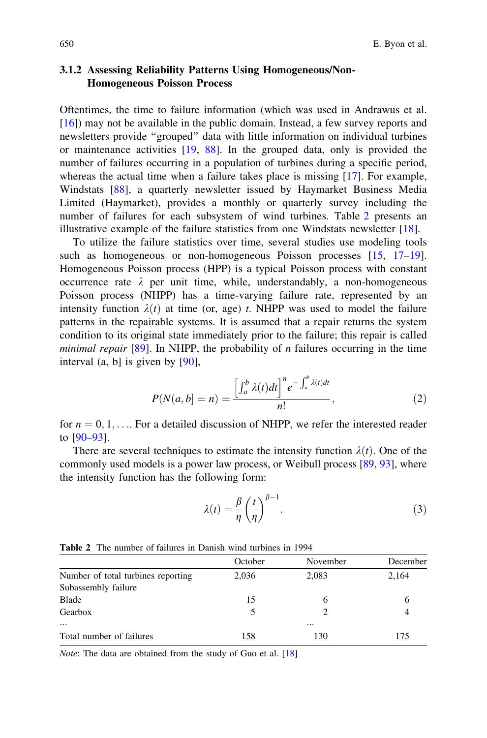## <span id="page-11-0"></span>3.1.2 Assessing Reliability Patterns Using Homogeneous/Non-Homogeneous Poisson Process

Oftentimes, the time to failure information (which was used in Andrawus et al. [\[16](#page-29-0)]) may not be available in the public domain. Instead, a few survey reports and newsletters provide ''grouped'' data with little information on individual turbines or maintenance activities [\[19,](#page-29-0) [88\]](#page-32-0). In the grouped data, only is provided the number of failures occurring in a population of turbines during a specific period, whereas the actual time when a failure takes place is missing [[17\]](#page-29-0). For example, Windstats [[88\]](#page-32-0), a quarterly newsletter issued by Haymarket Business Media Limited (Haymarket), provides a monthly or quarterly survey including the number of failures for each subsystem of wind turbines. Table 2 presents an illustrative example of the failure statistics from one Windstats newsletter [[18\]](#page-29-0).

To utilize the failure statistics over time, several studies use modeling tools such as homogeneous or non-homogeneous Poisson processes [[15,](#page-29-0) [17–19\]](#page-29-0). Homogeneous Poisson process (HPP) is a typical Poisson process with constant occurrence rate  $\lambda$  per unit time, while, understandably, a non-homogeneous Poisson process (NHPP) has a time-varying failure rate, represented by an intensity function  $\lambda(t)$  at time (or, age) t. NHPP was used to model the failure patterns in the repairable systems. It is assumed that a repair returns the system condition to its original state immediately prior to the failure; this repair is called *minimal repair* [\[89](#page-32-0)]. In NHPP, the probability of *n* failures occurring in the time interval (a, b] is given by [\[90](#page-32-0)],

$$
P(N(a,b]=n)=\frac{\left[\int_a^b \lambda(t)dt\right]^n e^{-\int_a^b \lambda(t)dt}}{n!},\qquad(2)
$$

for  $n = 0, 1, \ldots$  For a detailed discussion of NHPP, we refer the interested reader to [\[90–93](#page-32-0)].

There are several techniques to estimate the intensity function  $\lambda(t)$ . One of the commonly used models is a power law process, or Weibull process [[89,](#page-32-0) [93\]](#page-32-0), where the intensity function has the following form:

$$
\lambda(t) = \frac{\beta}{\eta} \left(\frac{t}{\eta}\right)^{\beta - 1}.
$$
\n(3)

| <b>Table 2</b> The number of failures in Danish wind turbines in 1994 |  |  |  |  |  |  |  |  |  |  |
|-----------------------------------------------------------------------|--|--|--|--|--|--|--|--|--|--|
|-----------------------------------------------------------------------|--|--|--|--|--|--|--|--|--|--|

|                                    | October | November | December |  |
|------------------------------------|---------|----------|----------|--|
| Number of total turbines reporting | 2,036   | 2,083    | 2,164    |  |
| Subassembly failure                |         |          |          |  |
| Blade                              | 15      | n        |          |  |
| Gearbox                            |         |          |          |  |
| $\cdots$                           |         |          |          |  |
| Total number of failures           | 158     | 130      | 175      |  |

Note: The data are obtained from the study of Guo et al. [\[18\]](#page-29-0)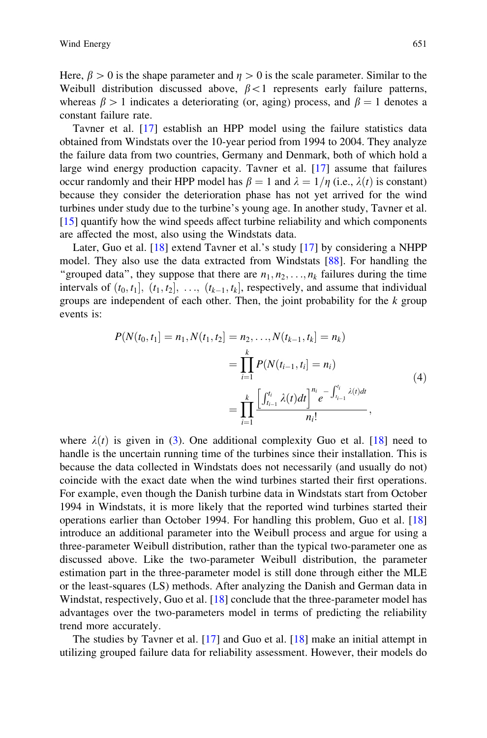<span id="page-12-0"></span>Here,  $\beta > 0$  is the shape parameter and  $\eta > 0$  is the scale parameter. Similar to the Weibull distribution discussed above,  $\beta$ <1 represents early failure patterns, whereas  $\beta > 1$  indicates a deteriorating (or, aging) process, and  $\beta = 1$  denotes a constant failure rate.

Tavner et al. [\[17](#page-29-0)] establish an HPP model using the failure statistics data obtained from Windstats over the 10-year period from 1994 to 2004. They analyze the failure data from two countries, Germany and Denmark, both of which hold a large wind energy production capacity. Tavner et al. [\[17](#page-29-0)] assume that failures occur randomly and their HPP model has  $\beta = 1$  and  $\lambda = 1/\eta$  (i.e.,  $\lambda(t)$  is constant) because they consider the deterioration phase has not yet arrived for the wind turbines under study due to the turbine's young age. In another study, Tavner et al. [\[15](#page-29-0)] quantify how the wind speeds affect turbine reliability and which components are affected the most, also using the Windstats data.

Later, Guo et al. [[18\]](#page-29-0) extend Tavner et al.'s study [[17\]](#page-29-0) by considering a NHPP model. They also use the data extracted from Windstats [\[88](#page-32-0)]. For handling the "grouped data", they suppose that there are  $n_1, n_2, \ldots, n_k$  failures during the time intervals of  $(t_0, t_1], (t_1, t_2], \ldots, (t_{k-1}, t_k]$ , respectively, and assume that individual groups are independent of each other. Then, the joint probability for the  $k$  group events is:

$$
P(N(t_0, t_1] = n_1, N(t_1, t_2] = n_2, ..., N(t_{k-1}, t_k] = n_k)
$$
  
= 
$$
\prod_{i=1}^k P(N(t_{i-1}, t_i] = n_i)
$$
  
= 
$$
\prod_{i=1}^k \frac{\left[\int_{t_{i-1}}^{t_i} \lambda(t)dt\right]^{n_i} e^{-\int_{t_{i-1}}^{t_i} \lambda(t)dt}}{n_i!},
$$
 (4)

where  $\lambda(t)$  is given in ([3\)](#page-11-0). One additional complexity Guo et al. [[18\]](#page-29-0) need to handle is the uncertain running time of the turbines since their installation. This is because the data collected in Windstats does not necessarily (and usually do not) coincide with the exact date when the wind turbines started their first operations. For example, even though the Danish turbine data in Windstats start from October 1994 in Windstats, it is more likely that the reported wind turbines started their operations earlier than October 1994. For handling this problem, Guo et al. [\[18](#page-29-0)] introduce an additional parameter into the Weibull process and argue for using a three-parameter Weibull distribution, rather than the typical two-parameter one as discussed above. Like the two-parameter Weibull distribution, the parameter estimation part in the three-parameter model is still done through either the MLE or the least-squares (LS) methods. After analyzing the Danish and German data in Windstat, respectively, Guo et al. [[18\]](#page-29-0) conclude that the three-parameter model has advantages over the two-parameters model in terms of predicting the reliability trend more accurately.

The studies by Tavner et al. [\[17](#page-29-0)] and Guo et al. [\[18](#page-29-0)] make an initial attempt in utilizing grouped failure data for reliability assessment. However, their models do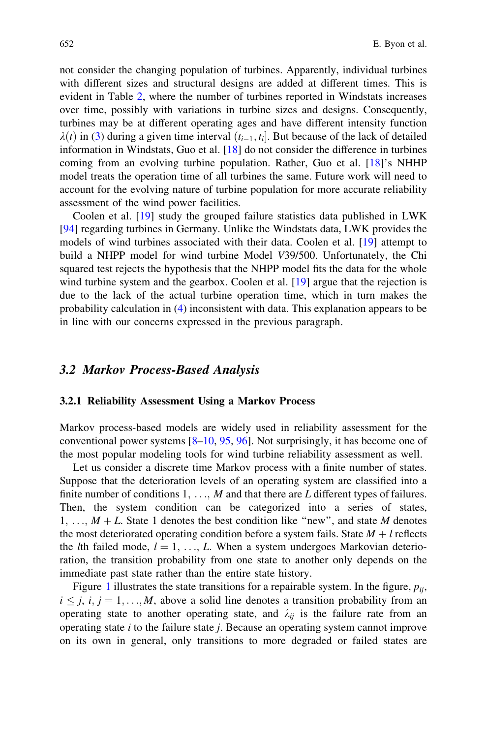<span id="page-13-0"></span>not consider the changing population of turbines. Apparently, individual turbines with different sizes and structural designs are added at different times. This is evident in Table [2,](#page-11-0) where the number of turbines reported in Windstats increases over time, possibly with variations in turbine sizes and designs. Consequently, turbines may be at different operating ages and have different intensity function  $\lambda(t)$  in ([3\)](#page-11-0) during a given time interval  $(t_{i-1}, t_i]$ . But because of the lack of detailed information in Windstats, Guo et al. [[18\]](#page-29-0) do not consider the difference in turbines coming from an evolving turbine population. Rather, Guo et al. [\[18](#page-29-0)]'s NHHP model treats the operation time of all turbines the same. Future work will need to account for the evolving nature of turbine population for more accurate reliability assessment of the wind power facilities.

Coolen et al. [[19\]](#page-29-0) study the grouped failure statistics data published in LWK [\[94](#page-32-0)] regarding turbines in Germany. Unlike the Windstats data, LWK provides the models of wind turbines associated with their data. Coolen et al. [\[19](#page-29-0)] attempt to build a NHPP model for wind turbine Model V39/500. Unfortunately, the Chi squared test rejects the hypothesis that the NHPP model fits the data for the whole wind turbine system and the gearbox. Coolen et al. [[19](#page-29-0)] argue that the rejection is due to the lack of the actual turbine operation time, which in turn makes the probability calculation in [\(4](#page-12-0)) inconsistent with data. This explanation appears to be in line with our concerns expressed in the previous paragraph.

## 3.2 Markov Process-Based Analysis

#### 3.2.1 Reliability Assessment Using a Markov Process

Markov process-based models are widely used in reliability assessment for the conventional power systems  $[8–10, 95, 96]$  $[8–10, 95, 96]$  $[8–10, 95, 96]$  $[8–10, 95, 96]$  $[8–10, 95, 96]$  $[8–10, 95, 96]$ . Not surprisingly, it has become one of the most popular modeling tools for wind turbine reliability assessment as well.

Let us consider a discrete time Markov process with a finite number of states. Suppose that the deterioration levels of an operating system are classified into a finite number of conditions  $1, \ldots, M$  and that there are L different types of failures. Then, the system condition can be categorized into a series of states,  $1, \ldots, M + L$ . State 1 denotes the best condition like "new", and state M denotes the most deteriorated operating condition before a system fails. State  $M + l$  reflects the *l*th failed mode,  $l = 1, \ldots, L$ . When a system undergoes Markovian deterioration, the transition probability from one state to another only depends on the immediate past state rather than the entire state history.

Figure [1](#page-14-0) illustrates the state transitions for a repairable system. In the figure,  $p_{ij}$ ,  $i \leq j, i, j = 1, \ldots, M$ , above a solid line denotes a transition probability from an operating state to another operating state, and  $\lambda_{ij}$  is the failure rate from an operating state  $i$  to the failure state  $j$ . Because an operating system cannot improve on its own in general, only transitions to more degraded or failed states are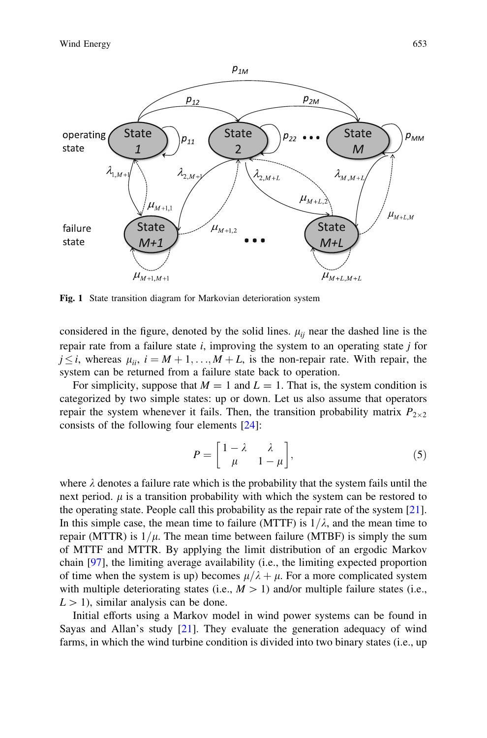<span id="page-14-0"></span>

Fig. 1 State transition diagram for Markovian deterioration system

considered in the figure, denoted by the solid lines.  $\mu_{ii}$  near the dashed line is the repair rate from a failure state  $i$ , improving the system to an operating state  $j$  for  $j \leq i$ , whereas  $\mu_{ii}$ ,  $i = M + 1, \ldots, M + L$ , is the non-repair rate. With repair, the system can be returned from a failure state back to operation.

For simplicity, suppose that  $M = 1$  and  $L = 1$ . That is, the system condition is categorized by two simple states: up or down. Let us also assume that operators repair the system whenever it fails. Then, the transition probability matrix  $P_{2\times 2}$ consists of the following four elements [\[24](#page-29-0)]:

$$
P = \begin{bmatrix} 1 - \lambda & \lambda \\ \mu & 1 - \mu \end{bmatrix},\tag{5}
$$

where  $\lambda$  denotes a failure rate which is the probability that the system fails until the next period.  $\mu$  is a transition probability with which the system can be restored to the operating state. People call this probability as the repair rate of the system [[21\]](#page-29-0). In this simple case, the mean time to failure (MTTF) is  $1/\lambda$ , and the mean time to repair (MTTR) is  $1/\mu$ . The mean time between failure (MTBF) is simply the sum of MTTF and MTTR. By applying the limit distribution of an ergodic Markov chain [[97\]](#page-32-0), the limiting average availability (i.e., the limiting expected proportion of time when the system is up) becomes  $\mu/\lambda + \mu$ . For a more complicated system with multiple deteriorating states (i.e.,  $M > 1$ ) and/or multiple failure states (i.e.,  $L > 1$ , similar analysis can be done.

Initial efforts using a Markov model in wind power systems can be found in Sayas and Allan's study  $[21]$  $[21]$ . They evaluate the generation adequacy of wind farms, in which the wind turbine condition is divided into two binary states (i.e., up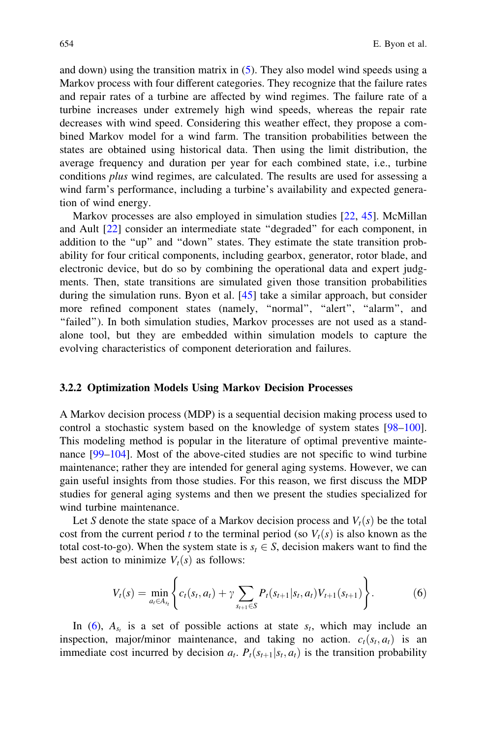<span id="page-15-0"></span>and down) using the transition matrix in ([5\)](#page-14-0). They also model wind speeds using a Markov process with four different categories. They recognize that the failure rates and repair rates of a turbine are affected by wind regimes. The failure rate of a turbine increases under extremely high wind speeds, whereas the repair rate decreases with wind speed. Considering this weather effect, they propose a combined Markov model for a wind farm. The transition probabilities between the states are obtained using historical data. Then using the limit distribution, the average frequency and duration per year for each combined state, i.e., turbine conditions plus wind regimes, are calculated. The results are used for assessing a wind farm's performance, including a turbine's availability and expected generation of wind energy.

Markov processes are also employed in simulation studies [[22,](#page-29-0) [45](#page-30-0)]. McMillan and Ault [\[22](#page-29-0)] consider an intermediate state ''degraded'' for each component, in addition to the ''up'' and ''down'' states. They estimate the state transition probability for four critical components, including gearbox, generator, rotor blade, and electronic device, but do so by combining the operational data and expert judgments. Then, state transitions are simulated given those transition probabilities during the simulation runs. Byon et al. [\[45](#page-30-0)] take a similar approach, but consider more refined component states (namely, "normal", "alert", "alarm", and ''failed''). In both simulation studies, Markov processes are not used as a standalone tool, but they are embedded within simulation models to capture the evolving characteristics of component deterioration and failures.

#### 3.2.2 Optimization Models Using Markov Decision Processes

A Markov decision process (MDP) is a sequential decision making process used to control a stochastic system based on the knowledge of system states [[98–100\]](#page-33-0). This modeling method is popular in the literature of optimal preventive maintenance [\[99–104](#page-33-0)]. Most of the above-cited studies are not specific to wind turbine maintenance; rather they are intended for general aging systems. However, we can gain useful insights from those studies. For this reason, we first discuss the MDP studies for general aging systems and then we present the studies specialized for wind turbine maintenance.

Let S denote the state space of a Markov decision process and  $V_t(s)$  be the total cost from the current period t to the terminal period (so  $V_t(s)$  is also known as the total cost-to-go). When the system state is  $s_t \in S$ , decision makers want to find the best action to minimize  $V_t(s)$  as follows:

$$
V_t(s) = \min_{a_t \in A_{s_t}} \left\{ c_t(s_t, a_t) + \gamma \sum_{s_{t+1} \in S} P_t(s_{t+1} | s_t, a_t) V_{t+1}(s_{t+1}) \right\}.
$$
 (6)

In (6),  $A_{s,t}$  is a set of possible actions at state  $s_t$ , which may include an inspection, major/minor maintenance, and taking no action.  $c_t(s_t, a_t)$  is an immediate cost incurred by decision  $a_t$ .  $P_t(s_{t+1}|s_t, a_t)$  is the transition probability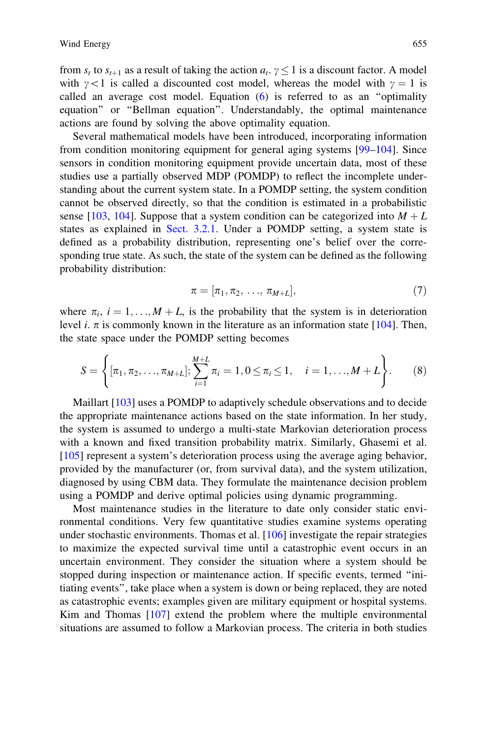from  $s_t$  to  $s_{t+1}$  as a result of taking the action  $a_t$ .  $\gamma \le 1$  is a discount factor. A model with  $\gamma$  < 1 is called a discounted cost model, whereas the model with  $\gamma$  = 1 is called an average cost model. Equation [\(6](#page-15-0)) is referred to as an ''optimality equation'' or ''Bellman equation''. Understandably, the optimal maintenance actions are found by solving the above optimality equation.

Several mathematical models have been introduced, incorporating information from condition monitoring equipment for general aging systems [\[99–104\]](#page-33-0). Since sensors in condition monitoring equipment provide uncertain data, most of these studies use a partially observed MDP (POMDP) to reflect the incomplete understanding about the current system state. In a POMDP setting, the system condition cannot be observed directly, so that the condition is estimated in a probabilistic sense [[103,](#page-33-0) [104\]](#page-33-0). Suppose that a system condition can be categorized into  $M + L$ states as explained in [Sect. 3.2.1.](#page-13-0) Under a POMDP setting, a system state is defined as a probability distribution, representing one's belief over the corresponding true state. As such, the state of the system can be defined as the following probability distribution:

$$
\pi = [\pi_1, \pi_2, \ldots, \pi_{M+L}], \tag{7}
$$

where  $\pi_i$ ,  $i = 1, \ldots, M + L$ , is the probability that the system is in deterioration level *i.*  $\pi$  is commonly known in the literature as an information state [[104\]](#page-33-0). Then, the state space under the POMDP setting becomes

$$
S = \left\{ [\pi_1, \pi_2, \dots, \pi_{M+L}]; \sum_{i=1}^{M+L} \pi_i = 1, 0 \le \pi_i \le 1, \quad i = 1, \dots, M+L \right\}.
$$
 (8)

Maillart [[103\]](#page-33-0) uses a POMDP to adaptively schedule observations and to decide the appropriate maintenance actions based on the state information. In her study, the system is assumed to undergo a multi-state Markovian deterioration process with a known and fixed transition probability matrix. Similarly, Ghasemi et al. [\[105](#page-33-0)] represent a system's deterioration process using the average aging behavior, provided by the manufacturer (or, from survival data), and the system utilization, diagnosed by using CBM data. They formulate the maintenance decision problem using a POMDP and derive optimal policies using dynamic programming.

Most maintenance studies in the literature to date only consider static environmental conditions. Very few quantitative studies examine systems operating under stochastic environments. Thomas et al. [\[106](#page-33-0)] investigate the repair strategies to maximize the expected survival time until a catastrophic event occurs in an uncertain environment. They consider the situation where a system should be stopped during inspection or maintenance action. If specific events, termed ''initiating events'', take place when a system is down or being replaced, they are noted as catastrophic events; examples given are military equipment or hospital systems. Kim and Thomas [\[107](#page-33-0)] extend the problem where the multiple environmental situations are assumed to follow a Markovian process. The criteria in both studies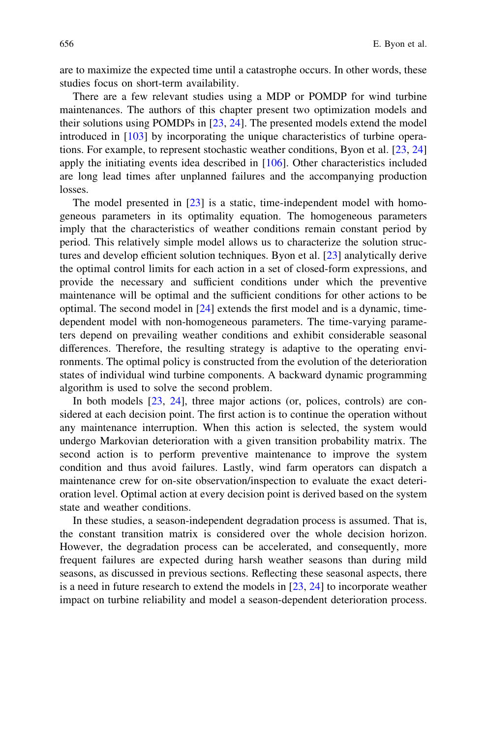are to maximize the expected time until a catastrophe occurs. In other words, these studies focus on short-term availability.

There are a few relevant studies using a MDP or POMDP for wind turbine maintenances. The authors of this chapter present two optimization models and their solutions using POMDPs in [\[23](#page-29-0), [24](#page-29-0)]. The presented models extend the model introduced in [\[103](#page-33-0)] by incorporating the unique characteristics of turbine operations. For example, to represent stochastic weather conditions, Byon et al. [\[23](#page-29-0), [24](#page-29-0)] apply the initiating events idea described in [[106\]](#page-33-0). Other characteristics included are long lead times after unplanned failures and the accompanying production losses.

The model presented in [\[23](#page-29-0)] is a static, time-independent model with homogeneous parameters in its optimality equation. The homogeneous parameters imply that the characteristics of weather conditions remain constant period by period. This relatively simple model allows us to characterize the solution structures and develop efficient solution techniques. Byon et al. [[23\]](#page-29-0) analytically derive the optimal control limits for each action in a set of closed-form expressions, and provide the necessary and sufficient conditions under which the preventive maintenance will be optimal and the sufficient conditions for other actions to be optimal. The second model in [\[24](#page-29-0)] extends the first model and is a dynamic, timedependent model with non-homogeneous parameters. The time-varying parameters depend on prevailing weather conditions and exhibit considerable seasonal differences. Therefore, the resulting strategy is adaptive to the operating environments. The optimal policy is constructed from the evolution of the deterioration states of individual wind turbine components. A backward dynamic programming algorithm is used to solve the second problem.

In both models [[23,](#page-29-0) [24](#page-29-0)], three major actions (or, polices, controls) are considered at each decision point. The first action is to continue the operation without any maintenance interruption. When this action is selected, the system would undergo Markovian deterioration with a given transition probability matrix. The second action is to perform preventive maintenance to improve the system condition and thus avoid failures. Lastly, wind farm operators can dispatch a maintenance crew for on-site observation/inspection to evaluate the exact deterioration level. Optimal action at every decision point is derived based on the system state and weather conditions.

In these studies, a season-independent degradation process is assumed. That is, the constant transition matrix is considered over the whole decision horizon. However, the degradation process can be accelerated, and consequently, more frequent failures are expected during harsh weather seasons than during mild seasons, as discussed in previous sections. Reflecting these seasonal aspects, there is a need in future research to extend the models in  $[23, 24]$  $[23, 24]$  $[23, 24]$  $[23, 24]$  to incorporate weather impact on turbine reliability and model a season-dependent deterioration process.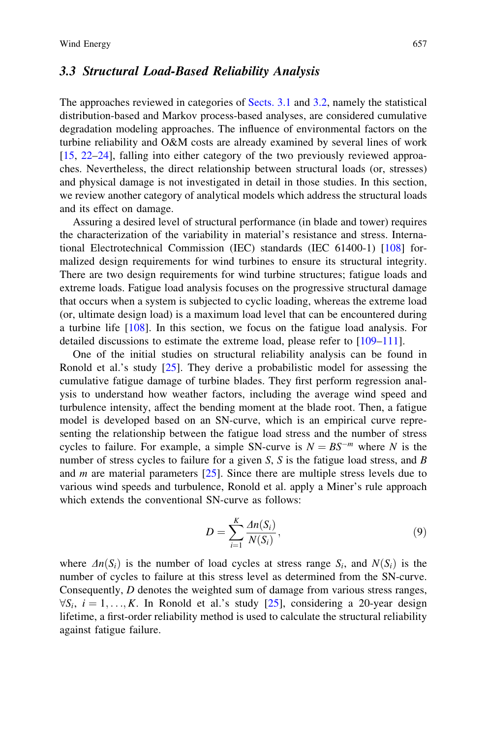# <span id="page-18-0"></span>3.3 Structural Load-Based Reliability Analysis

The approaches reviewed in categories of [Sects. 3.1](#page-9-0) and [3.2](#page-13-0), namely the statistical distribution-based and Markov process-based analyses, are considered cumulative degradation modeling approaches. The influence of environmental factors on the turbine reliability and O&M costs are already examined by several lines of work [\[15](#page-29-0), [22–24](#page-29-0)], falling into either category of the two previously reviewed approaches. Nevertheless, the direct relationship between structural loads (or, stresses) and physical damage is not investigated in detail in those studies. In this section, we review another category of analytical models which address the structural loads and its effect on damage.

Assuring a desired level of structural performance (in blade and tower) requires the characterization of the variability in material's resistance and stress. International Electrotechnical Commission (IEC) standards (IEC 61400-1) [\[108](#page-33-0)] formalized design requirements for wind turbines to ensure its structural integrity. There are two design requirements for wind turbine structures; fatigue loads and extreme loads. Fatigue load analysis focuses on the progressive structural damage that occurs when a system is subjected to cyclic loading, whereas the extreme load (or, ultimate design load) is a maximum load level that can be encountered during a turbine life [[108\]](#page-33-0). In this section, we focus on the fatigue load analysis. For detailed discussions to estimate the extreme load, please refer to [\[109–111\]](#page-33-0).

One of the initial studies on structural reliability analysis can be found in Ronold et al.'s study [\[25](#page-29-0)]. They derive a probabilistic model for assessing the cumulative fatigue damage of turbine blades. They first perform regression analysis to understand how weather factors, including the average wind speed and turbulence intensity, affect the bending moment at the blade root. Then, a fatigue model is developed based on an SN-curve, which is an empirical curve representing the relationship between the fatigue load stress and the number of stress cycles to failure. For example, a simple SN-curve is  $N = BS^{-m}$  where N is the number of stress cycles to failure for a given  $S$ ,  $S$  is the fatigue load stress, and  $B$ and  $m$  are material parameters [[25\]](#page-29-0). Since there are multiple stress levels due to various wind speeds and turbulence, Ronold et al. apply a Miner's rule approach which extends the conventional SN-curve as follows:

$$
D = \sum_{i=1}^{K} \frac{\Delta n(S_i)}{N(S_i)},
$$
\n(9)

where  $\Delta n(S_i)$  is the number of load cycles at stress range  $S_i$ , and  $N(S_i)$  is the number of cycles to failure at this stress level as determined from the SN-curve. Consequently, D denotes the weighted sum of damage from various stress ranges,  $\forall S_i, i = 1, ..., K$ . In Ronold et al.'s study [[25](#page-29-0)], considering a 20-year design lifetime, a first-order reliability method is used to calculate the structural reliability against fatigue failure.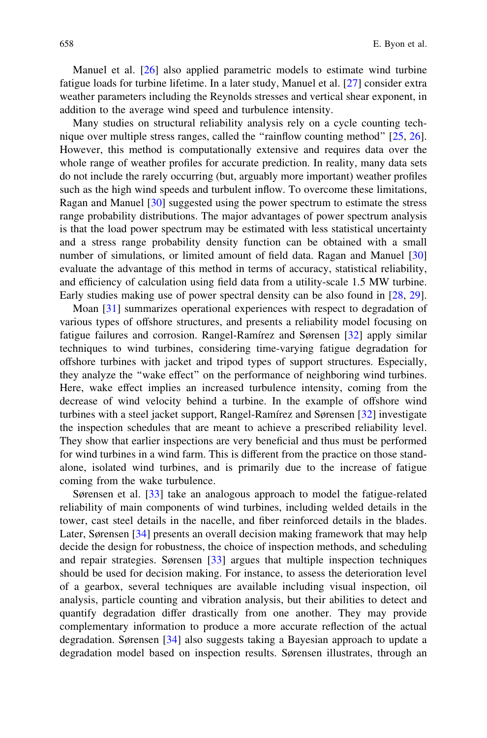Manuel et al. [[26\]](#page-30-0) also applied parametric models to estimate wind turbine fatigue loads for turbine lifetime. In a later study, Manuel et al. [\[27](#page-30-0)] consider extra weather parameters including the Reynolds stresses and vertical shear exponent, in addition to the average wind speed and turbulence intensity.

Many studies on structural reliability analysis rely on a cycle counting technique over multiple stress ranges, called the ''rainflow counting method'' [[25](#page-29-0), [26\]](#page-30-0). However, this method is computationally extensive and requires data over the whole range of weather profiles for accurate prediction. In reality, many data sets do not include the rarely occurring (but, arguably more important) weather profiles such as the high wind speeds and turbulent inflow. To overcome these limitations, Ragan and Manuel [\[30](#page-30-0)] suggested using the power spectrum to estimate the stress range probability distributions. The major advantages of power spectrum analysis is that the load power spectrum may be estimated with less statistical uncertainty and a stress range probability density function can be obtained with a small number of simulations, or limited amount of field data. Ragan and Manuel [\[30](#page-30-0)] evaluate the advantage of this method in terms of accuracy, statistical reliability, and efficiency of calculation using field data from a utility-scale 1.5 MW turbine. Early studies making use of power spectral density can be also found in [\[28](#page-30-0), [29\]](#page-30-0).

Moan [[31\]](#page-30-0) summarizes operational experiences with respect to degradation of various types of offshore structures, and presents a reliability model focusing on fatigue failures and corrosion. Rangel-Ramírez and Sørensen [\[32](#page-30-0)] apply similar techniques to wind turbines, considering time-varying fatigue degradation for offshore turbines with jacket and tripod types of support structures. Especially, they analyze the ''wake effect'' on the performance of neighboring wind turbines. Here, wake effect implies an increased turbulence intensity, coming from the decrease of wind velocity behind a turbine. In the example of offshore wind turbines with a steel jacket support, Rangel-Ramírez and Sørensen [\[32](#page-30-0)] investigate the inspection schedules that are meant to achieve a prescribed reliability level. They show that earlier inspections are very beneficial and thus must be performed for wind turbines in a wind farm. This is different from the practice on those standalone, isolated wind turbines, and is primarily due to the increase of fatigue coming from the wake turbulence.

Sørensen et al. [\[33](#page-30-0)] take an analogous approach to model the fatigue-related reliability of main components of wind turbines, including welded details in the tower, cast steel details in the nacelle, and fiber reinforced details in the blades. Later, Sørensen [[34](#page-30-0)] presents an overall decision making framework that may help decide the design for robustness, the choice of inspection methods, and scheduling and repair strategies. Sørensen [\[33](#page-30-0)] argues that multiple inspection techniques should be used for decision making. For instance, to assess the deterioration level of a gearbox, several techniques are available including visual inspection, oil analysis, particle counting and vibration analysis, but their abilities to detect and quantify degradation differ drastically from one another. They may provide complementary information to produce a more accurate reflection of the actual degradation. Sørensen [\[34](#page-30-0)] also suggests taking a Bayesian approach to update a degradation model based on inspection results. Sørensen illustrates, through an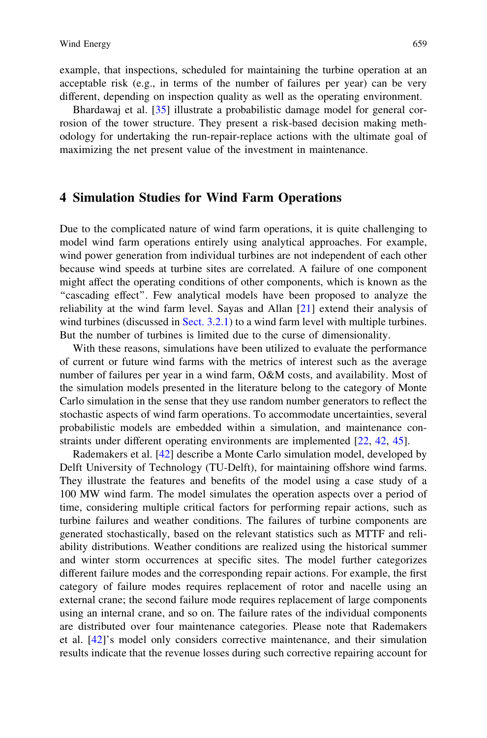<span id="page-20-0"></span>example, that inspections, scheduled for maintaining the turbine operation at an acceptable risk (e.g., in terms of the number of failures per year) can be very different, depending on inspection quality as well as the operating environment.

Bhardawaj et al. [\[35](#page-30-0)] illustrate a probabilistic damage model for general corrosion of the tower structure. They present a risk-based decision making methodology for undertaking the run-repair-replace actions with the ultimate goal of maximizing the net present value of the investment in maintenance.

# 4 Simulation Studies for Wind Farm Operations

Due to the complicated nature of wind farm operations, it is quite challenging to model wind farm operations entirely using analytical approaches. For example, wind power generation from individual turbines are not independent of each other because wind speeds at turbine sites are correlated. A failure of one component might affect the operating conditions of other components, which is known as the ''cascading effect''. Few analytical models have been proposed to analyze the reliability at the wind farm level. Sayas and Allan [\[21](#page-29-0)] extend their analysis of wind turbines (discussed in [Sect. 3.2.1\)](#page-13-0) to a wind farm level with multiple turbines. But the number of turbines is limited due to the curse of dimensionality.

With these reasons, simulations have been utilized to evaluate the performance of current or future wind farms with the metrics of interest such as the average number of failures per year in a wind farm, O&M costs, and availability. Most of the simulation models presented in the literature belong to the category of Monte Carlo simulation in the sense that they use random number generators to reflect the stochastic aspects of wind farm operations. To accommodate uncertainties, several probabilistic models are embedded within a simulation, and maintenance constraints under different operating environments are implemented [\[22](#page-29-0), [42,](#page-30-0) [45\]](#page-30-0).

Rademakers et al. [[42\]](#page-30-0) describe a Monte Carlo simulation model, developed by Delft University of Technology (TU-Delft), for maintaining offshore wind farms. They illustrate the features and benefits of the model using a case study of a 100 MW wind farm. The model simulates the operation aspects over a period of time, considering multiple critical factors for performing repair actions, such as turbine failures and weather conditions. The failures of turbine components are generated stochastically, based on the relevant statistics such as MTTF and reliability distributions. Weather conditions are realized using the historical summer and winter storm occurrences at specific sites. The model further categorizes different failure modes and the corresponding repair actions. For example, the first category of failure modes requires replacement of rotor and nacelle using an external crane; the second failure mode requires replacement of large components using an internal crane, and so on. The failure rates of the individual components are distributed over four maintenance categories. Please note that Rademakers et al. [[42\]](#page-30-0)'s model only considers corrective maintenance, and their simulation results indicate that the revenue losses during such corrective repairing account for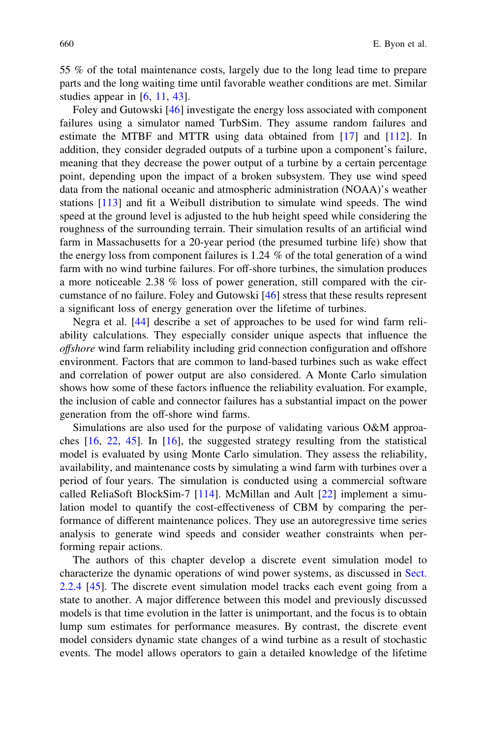55 % of the total maintenance costs, largely due to the long lead time to prepare parts and the long waiting time until favorable weather conditions are met. Similar studies appear in [\[6](#page-29-0), [11](#page-29-0), [43\]](#page-30-0).

Foley and Gutowski [[46\]](#page-30-0) investigate the energy loss associated with component failures using a simulator named TurbSim. They assume random failures and estimate the MTBF and MTTR using data obtained from [\[17](#page-29-0)] and [\[112](#page-33-0)]. In addition, they consider degraded outputs of a turbine upon a component's failure, meaning that they decrease the power output of a turbine by a certain percentage point, depending upon the impact of a broken subsystem. They use wind speed data from the national oceanic and atmospheric administration (NOAA)'s weather stations [[113\]](#page-33-0) and fit a Weibull distribution to simulate wind speeds. The wind speed at the ground level is adjusted to the hub height speed while considering the roughness of the surrounding terrain. Their simulation results of an artificial wind farm in Massachusetts for a 20-year period (the presumed turbine life) show that the energy loss from component failures is 1.24 % of the total generation of a wind farm with no wind turbine failures. For off-shore turbines, the simulation produces a more noticeable 2.38 % loss of power generation, still compared with the circumstance of no failure. Foley and Gutowski [\[46](#page-30-0)] stress that these results represent a significant loss of energy generation over the lifetime of turbines.

Negra et al. [[44\]](#page-30-0) describe a set of approaches to be used for wind farm reliability calculations. They especially consider unique aspects that influence the offshore wind farm reliability including grid connection configuration and offshore environment. Factors that are common to land-based turbines such as wake effect and correlation of power output are also considered. A Monte Carlo simulation shows how some of these factors influence the reliability evaluation. For example, the inclusion of cable and connector failures has a substantial impact on the power generation from the off-shore wind farms.

Simulations are also used for the purpose of validating various O&M approaches [\[16](#page-29-0), [22](#page-29-0), [45](#page-30-0)]. In [[16\]](#page-29-0), the suggested strategy resulting from the statistical model is evaluated by using Monte Carlo simulation. They assess the reliability, availability, and maintenance costs by simulating a wind farm with turbines over a period of four years. The simulation is conducted using a commercial software called ReliaSoft BlockSim-7 [[114\]](#page-33-0). McMillan and Ault [[22\]](#page-29-0) implement a simulation model to quantify the cost-effectiveness of CBM by comparing the performance of different maintenance polices. They use an autoregressive time series analysis to generate wind speeds and consider weather constraints when performing repair actions.

The authors of this chapter develop a discrete event simulation model to characterize the dynamic operations of wind power systems, as discussed in [Sect.](#page-7-0) [2.2.4](#page-7-0) [[45\]](#page-30-0). The discrete event simulation model tracks each event going from a state to another. A major difference between this model and previously discussed models is that time evolution in the latter is unimportant, and the focus is to obtain lump sum estimates for performance measures. By contrast, the discrete event model considers dynamic state changes of a wind turbine as a result of stochastic events. The model allows operators to gain a detailed knowledge of the lifetime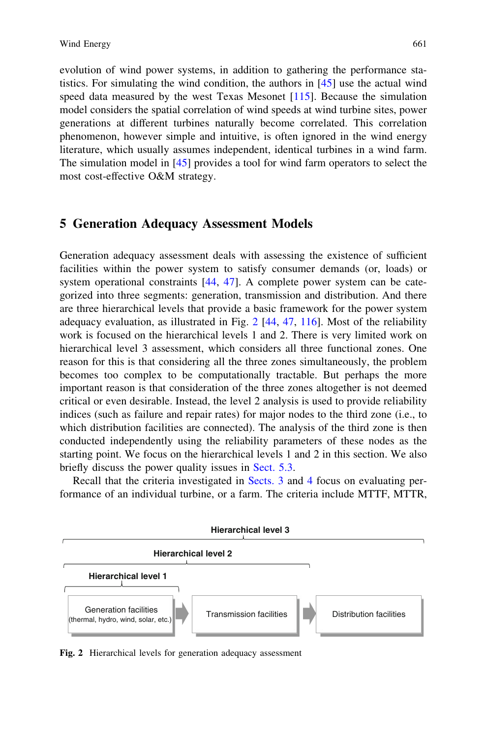<span id="page-22-0"></span>evolution of wind power systems, in addition to gathering the performance statistics. For simulating the wind condition, the authors in [[45\]](#page-30-0) use the actual wind speed data measured by the west Texas Mesonet  $[115]$  $[115]$ . Because the simulation model considers the spatial correlation of wind speeds at wind turbine sites, power generations at different turbines naturally become correlated. This correlation phenomenon, however simple and intuitive, is often ignored in the wind energy literature, which usually assumes independent, identical turbines in a wind farm. The simulation model in [\[45](#page-30-0)] provides a tool for wind farm operators to select the most cost-effective O&M strategy.

# 5 Generation Adequacy Assessment Models

Generation adequacy assessment deals with assessing the existence of sufficient facilities within the power system to satisfy consumer demands (or, loads) or system operational constraints [\[44](#page-30-0), [47\]](#page-30-0). A complete power system can be categorized into three segments: generation, transmission and distribution. And there are three hierarchical levels that provide a basic framework for the power system adequacy evaluation, as illustrated in Fig.  $2$  [[44,](#page-30-0) [47](#page-30-0), [116](#page-33-0)]. Most of the reliability work is focused on the hierarchical levels 1 and 2. There is very limited work on hierarchical level 3 assessment, which considers all three functional zones. One reason for this is that considering all the three zones simultaneously, the problem becomes too complex to be computationally tractable. But perhaps the more important reason is that consideration of the three zones altogether is not deemed critical or even desirable. Instead, the level 2 analysis is used to provide reliability indices (such as failure and repair rates) for major nodes to the third zone (i.e., to which distribution facilities are connected). The analysis of the third zone is then conducted independently using the reliability parameters of these nodes as the starting point. We focus on the hierarchical levels 1 and 2 in this section. We also briefly discuss the power quality issues in [Sect. 5.3](#page-27-0).

Recall that the criteria investigated in [Sects. 3](#page-9-0) and [4](#page-20-0) focus on evaluating performance of an individual turbine, or a farm. The criteria include MTTF, MTTR,



Fig. 2 Hierarchical levels for generation adequacy assessment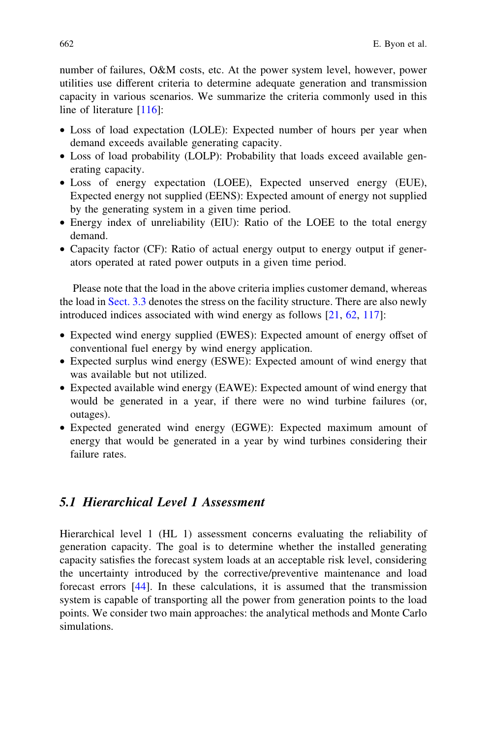number of failures, O&M costs, etc. At the power system level, however, power utilities use different criteria to determine adequate generation and transmission capacity in various scenarios. We summarize the criteria commonly used in this line of literature [[116\]](#page-33-0):

- Loss of load expectation (LOLE): Expected number of hours per year when demand exceeds available generating capacity.
- Loss of load probability (LOLP): Probability that loads exceed available generating capacity.
- Loss of energy expectation (LOEE), Expected unserved energy (EUE), Expected energy not supplied (EENS): Expected amount of energy not supplied by the generating system in a given time period.
- Energy index of unreliability (EIU): Ratio of the LOEE to the total energy demand.
- Capacity factor (CF): Ratio of actual energy output to energy output if generators operated at rated power outputs in a given time period.

Please note that the load in the above criteria implies customer demand, whereas the load in [Sect. 3.3](#page-18-0) denotes the stress on the facility structure. There are also newly introduced indices associated with wind energy as follows [[21,](#page-29-0) [62](#page-31-0), [117\]](#page-33-0):

- Expected wind energy supplied (EWES): Expected amount of energy offset of conventional fuel energy by wind energy application.
- Expected surplus wind energy (ESWE): Expected amount of wind energy that was available but not utilized.
- Expected available wind energy (EAWE): Expected amount of wind energy that would be generated in a year, if there were no wind turbine failures (or, outages).
- Expected generated wind energy (EGWE): Expected maximum amount of energy that would be generated in a year by wind turbines considering their failure rates.

# 5.1 Hierarchical Level 1 Assessment

Hierarchical level 1 (HL 1) assessment concerns evaluating the reliability of generation capacity. The goal is to determine whether the installed generating capacity satisfies the forecast system loads at an acceptable risk level, considering the uncertainty introduced by the corrective/preventive maintenance and load forecast errors [[44\]](#page-30-0). In these calculations, it is assumed that the transmission system is capable of transporting all the power from generation points to the load points. We consider two main approaches: the analytical methods and Monte Carlo simulations.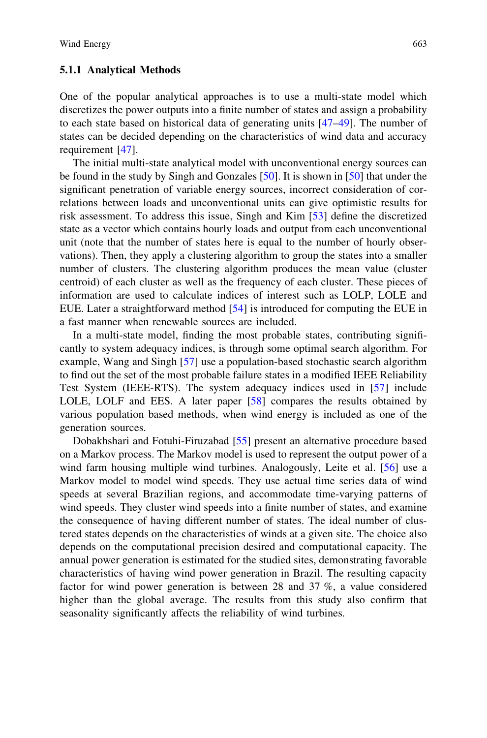## 5.1.1 Analytical Methods

One of the popular analytical approaches is to use a multi-state model which discretizes the power outputs into a finite number of states and assign a probability to each state based on historical data of generating units [[47–](#page-30-0)[49\]](#page-31-0). The number of states can be decided depending on the characteristics of wind data and accuracy requirement [[47\]](#page-30-0).

The initial multi-state analytical model with unconventional energy sources can be found in the study by Singh and Gonzales [[50\]](#page-31-0). It is shown in [\[50](#page-31-0)] that under the significant penetration of variable energy sources, incorrect consideration of correlations between loads and unconventional units can give optimistic results for risk assessment. To address this issue, Singh and Kim [\[53](#page-31-0)] define the discretized state as a vector which contains hourly loads and output from each unconventional unit (note that the number of states here is equal to the number of hourly observations). Then, they apply a clustering algorithm to group the states into a smaller number of clusters. The clustering algorithm produces the mean value (cluster centroid) of each cluster as well as the frequency of each cluster. These pieces of information are used to calculate indices of interest such as LOLP, LOLE and EUE. Later a straightforward method [[54\]](#page-31-0) is introduced for computing the EUE in a fast manner when renewable sources are included.

In a multi-state model, finding the most probable states, contributing significantly to system adequacy indices, is through some optimal search algorithm. For example, Wang and Singh [[57\]](#page-31-0) use a population-based stochastic search algorithm to find out the set of the most probable failure states in a modified IEEE Reliability Test System (IEEE-RTS). The system adequacy indices used in [[57\]](#page-31-0) include LOLE, LOLF and EES. A later paper [\[58](#page-31-0)] compares the results obtained by various population based methods, when wind energy is included as one of the generation sources.

Dobakhshari and Fotuhi-Firuzabad [\[55](#page-31-0)] present an alternative procedure based on a Markov process. The Markov model is used to represent the output power of a wind farm housing multiple wind turbines. Analogously, Leite et al. [[56\]](#page-31-0) use a Markov model to model wind speeds. They use actual time series data of wind speeds at several Brazilian regions, and accommodate time-varying patterns of wind speeds. They cluster wind speeds into a finite number of states, and examine the consequence of having different number of states. The ideal number of clustered states depends on the characteristics of winds at a given site. The choice also depends on the computational precision desired and computational capacity. The annual power generation is estimated for the studied sites, demonstrating favorable characteristics of having wind power generation in Brazil. The resulting capacity factor for wind power generation is between 28 and 37 %, a value considered higher than the global average. The results from this study also confirm that seasonality significantly affects the reliability of wind turbines.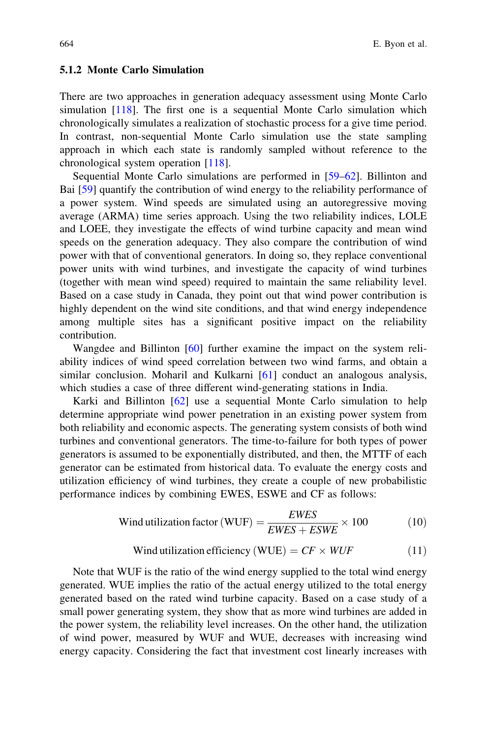#### 5.1.2 Monte Carlo Simulation

There are two approaches in generation adequacy assessment using Monte Carlo simulation [\[118](#page-33-0)]. The first one is a sequential Monte Carlo simulation which chronologically simulates a realization of stochastic process for a give time period. In contrast, non-sequential Monte Carlo simulation use the state sampling approach in which each state is randomly sampled without reference to the chronological system operation [[118\]](#page-33-0).

Sequential Monte Carlo simulations are performed in [\[59–62](#page-31-0)]. Billinton and Bai [[59\]](#page-31-0) quantify the contribution of wind energy to the reliability performance of a power system. Wind speeds are simulated using an autoregressive moving average (ARMA) time series approach. Using the two reliability indices, LOLE and LOEE, they investigate the effects of wind turbine capacity and mean wind speeds on the generation adequacy. They also compare the contribution of wind power with that of conventional generators. In doing so, they replace conventional power units with wind turbines, and investigate the capacity of wind turbines (together with mean wind speed) required to maintain the same reliability level. Based on a case study in Canada, they point out that wind power contribution is highly dependent on the wind site conditions, and that wind energy independence among multiple sites has a significant positive impact on the reliability contribution.

Wangdee and Billinton [\[60](#page-31-0)] further examine the impact on the system reliability indices of wind speed correlation between two wind farms, and obtain a similar conclusion. Moharil and Kulkarni [[61\]](#page-31-0) conduct an analogous analysis, which studies a case of three different wind-generating stations in India.

Karki and Billinton [\[62](#page-31-0)] use a sequential Monte Carlo simulation to help determine appropriate wind power penetration in an existing power system from both reliability and economic aspects. The generating system consists of both wind turbines and conventional generators. The time-to-failure for both types of power generators is assumed to be exponentially distributed, and then, the MTTF of each generator can be estimated from historical data. To evaluate the energy costs and utilization efficiency of wind turbines, they create a couple of new probabilistic performance indices by combining EWES, ESWE and CF as follows:

$$
Window utilization factor (WUF) = \frac{EWES}{EWES + ESWE} \times 100
$$
 (10)

$$
Window utilization efficiency (WUE) = CF \times WUF
$$
 (11)

Note that WUF is the ratio of the wind energy supplied to the total wind energy generated. WUE implies the ratio of the actual energy utilized to the total energy generated based on the rated wind turbine capacity. Based on a case study of a small power generating system, they show that as more wind turbines are added in the power system, the reliability level increases. On the other hand, the utilization of wind power, measured by WUF and WUE, decreases with increasing wind energy capacity. Considering the fact that investment cost linearly increases with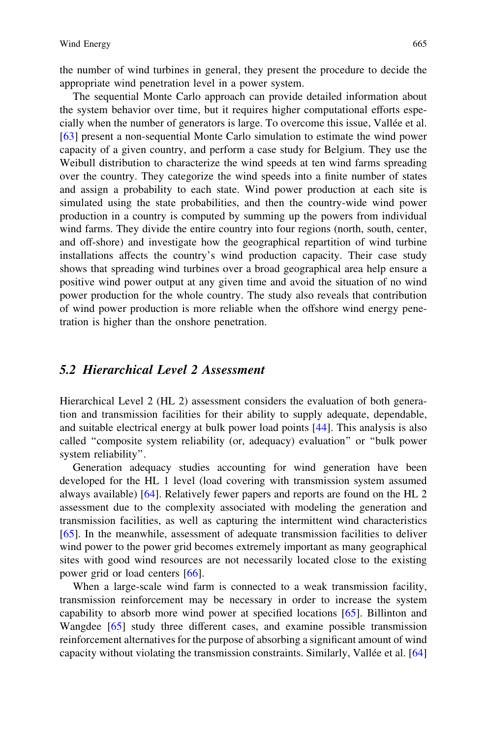the number of wind turbines in general, they present the procedure to decide the appropriate wind penetration level in a power system.

The sequential Monte Carlo approach can provide detailed information about the system behavior over time, but it requires higher computational efforts especially when the number of generators is large. To overcome this issue, Vallée et al. [\[63](#page-31-0)] present a non-sequential Monte Carlo simulation to estimate the wind power capacity of a given country, and perform a case study for Belgium. They use the Weibull distribution to characterize the wind speeds at ten wind farms spreading over the country. They categorize the wind speeds into a finite number of states and assign a probability to each state. Wind power production at each site is simulated using the state probabilities, and then the country-wide wind power production in a country is computed by summing up the powers from individual wind farms. They divide the entire country into four regions (north, south, center, and off-shore) and investigate how the geographical repartition of wind turbine installations affects the country's wind production capacity. Their case study shows that spreading wind turbines over a broad geographical area help ensure a positive wind power output at any given time and avoid the situation of no wind power production for the whole country. The study also reveals that contribution of wind power production is more reliable when the offshore wind energy penetration is higher than the onshore penetration.

## 5.2 Hierarchical Level 2 Assessment

Hierarchical Level 2 (HL 2) assessment considers the evaluation of both generation and transmission facilities for their ability to supply adequate, dependable, and suitable electrical energy at bulk power load points [\[44](#page-30-0)]. This analysis is also called ''composite system reliability (or, adequacy) evaluation'' or ''bulk power system reliability''.

Generation adequacy studies accounting for wind generation have been developed for the HL 1 level (load covering with transmission system assumed always available) [\[64](#page-31-0)]. Relatively fewer papers and reports are found on the HL 2 assessment due to the complexity associated with modeling the generation and transmission facilities, as well as capturing the intermittent wind characteristics [\[65](#page-31-0)]. In the meanwhile, assessment of adequate transmission facilities to deliver wind power to the power grid becomes extremely important as many geographical sites with good wind resources are not necessarily located close to the existing power grid or load centers [[66\]](#page-31-0).

When a large-scale wind farm is connected to a weak transmission facility, transmission reinforcement may be necessary in order to increase the system capability to absorb more wind power at specified locations [[65\]](#page-31-0). Billinton and Wangdee [\[65](#page-31-0)] study three different cases, and examine possible transmission reinforcement alternatives for the purpose of absorbing a significant amount of wind capacity without violating the transmission constraints. Similarly, Vallée et al. [\[64](#page-31-0)]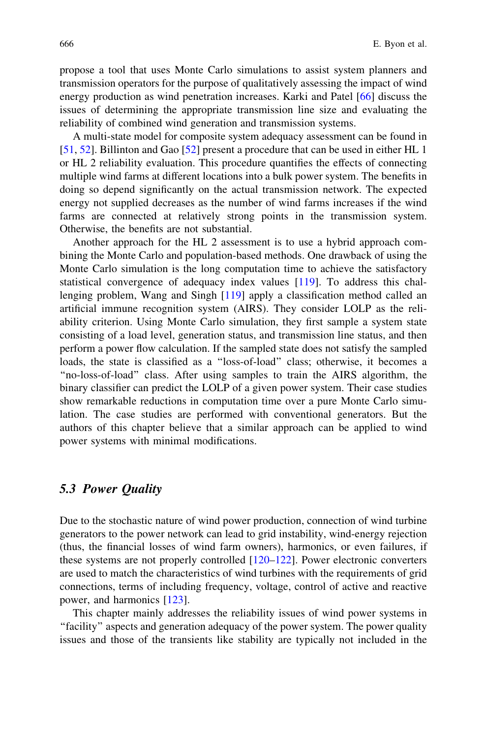<span id="page-27-0"></span>propose a tool that uses Monte Carlo simulations to assist system planners and transmission operators for the purpose of qualitatively assessing the impact of wind energy production as wind penetration increases. Karki and Patel [\[66](#page-31-0)] discuss the issues of determining the appropriate transmission line size and evaluating the reliability of combined wind generation and transmission systems.

A multi-state model for composite system adequacy assessment can be found in [\[51](#page-31-0), [52\]](#page-31-0). Billinton and Gao [\[52](#page-31-0)] present a procedure that can be used in either HL 1 or HL 2 reliability evaluation. This procedure quantifies the effects of connecting multiple wind farms at different locations into a bulk power system. The benefits in doing so depend significantly on the actual transmission network. The expected energy not supplied decreases as the number of wind farms increases if the wind farms are connected at relatively strong points in the transmission system. Otherwise, the benefits are not substantial.

Another approach for the HL 2 assessment is to use a hybrid approach combining the Monte Carlo and population-based methods. One drawback of using the Monte Carlo simulation is the long computation time to achieve the satisfactory statistical convergence of adequacy index values [\[119](#page-33-0)]. To address this challenging problem, Wang and Singh [[119\]](#page-33-0) apply a classification method called an artificial immune recognition system (AIRS). They consider LOLP as the reliability criterion. Using Monte Carlo simulation, they first sample a system state consisting of a load level, generation status, and transmission line status, and then perform a power flow calculation. If the sampled state does not satisfy the sampled loads, the state is classified as a ''loss-of-load'' class; otherwise, it becomes a ''no-loss-of-load'' class. After using samples to train the AIRS algorithm, the binary classifier can predict the LOLP of a given power system. Their case studies show remarkable reductions in computation time over a pure Monte Carlo simulation. The case studies are performed with conventional generators. But the authors of this chapter believe that a similar approach can be applied to wind power systems with minimal modifications.

# 5.3 Power Quality

Due to the stochastic nature of wind power production, connection of wind turbine generators to the power network can lead to grid instability, wind-energy rejection (thus, the financial losses of wind farm owners), harmonics, or even failures, if these systems are not properly controlled [\[120–122](#page-33-0)]. Power electronic converters are used to match the characteristics of wind turbines with the requirements of grid connections, terms of including frequency, voltage, control of active and reactive power, and harmonics [[123\]](#page-33-0).

This chapter mainly addresses the reliability issues of wind power systems in ''facility'' aspects and generation adequacy of the power system. The power quality issues and those of the transients like stability are typically not included in the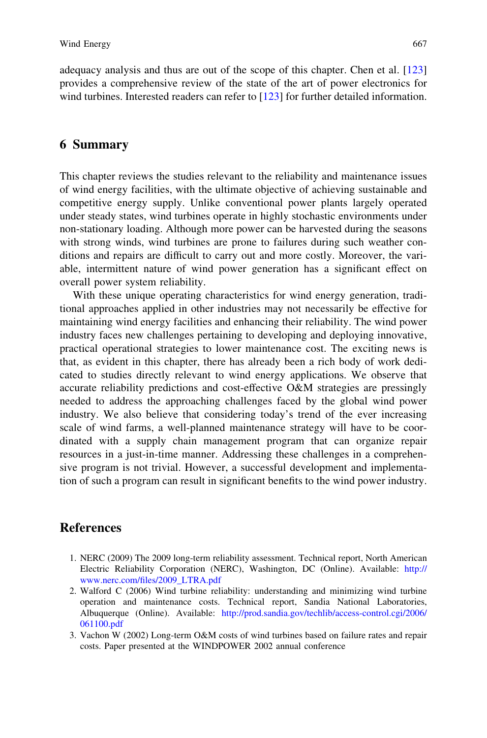<span id="page-28-0"></span>adequacy analysis and thus are out of the scope of this chapter. Chen et al. [\[123](#page-33-0)] provides a comprehensive review of the state of the art of power electronics for wind turbines. Interested readers can refer to [\[123](#page-33-0)] for further detailed information.

# 6 Summary

This chapter reviews the studies relevant to the reliability and maintenance issues of wind energy facilities, with the ultimate objective of achieving sustainable and competitive energy supply. Unlike conventional power plants largely operated under steady states, wind turbines operate in highly stochastic environments under non-stationary loading. Although more power can be harvested during the seasons with strong winds, wind turbines are prone to failures during such weather conditions and repairs are difficult to carry out and more costly. Moreover, the variable, intermittent nature of wind power generation has a significant effect on overall power system reliability.

With these unique operating characteristics for wind energy generation, traditional approaches applied in other industries may not necessarily be effective for maintaining wind energy facilities and enhancing their reliability. The wind power industry faces new challenges pertaining to developing and deploying innovative, practical operational strategies to lower maintenance cost. The exciting news is that, as evident in this chapter, there has already been a rich body of work dedicated to studies directly relevant to wind energy applications. We observe that accurate reliability predictions and cost-effective O&M strategies are pressingly needed to address the approaching challenges faced by the global wind power industry. We also believe that considering today's trend of the ever increasing scale of wind farms, a well-planned maintenance strategy will have to be coordinated with a supply chain management program that can organize repair resources in a just-in-time manner. Addressing these challenges in a comprehensive program is not trivial. However, a successful development and implementation of such a program can result in significant benefits to the wind power industry.

# References

- 1. NERC (2009) The 2009 long-term reliability assessment. Technical report, North American Electric Reliability Corporation (NERC), Washington, DC (Online). Available: [http://](http://www.nerc.com/files/2009_LTRA.pdf) [www.nerc.com/files/2009\\_LTRA.pdf](http://www.nerc.com/files/2009_LTRA.pdf)
- 2. Walford C (2006) Wind turbine reliability: understanding and minimizing wind turbine operation and maintenance costs. Technical report, Sandia National Laboratories, Albuquerque (Online). Available: [http://prod.sandia.gov/techlib/access-control.cgi/2006/](http://prod.sandia.gov/techlib/access-control.cgi/2006/061100.pdf) [061100.pdf](http://prod.sandia.gov/techlib/access-control.cgi/2006/061100.pdf)
- 3. Vachon W (2002) Long-term O&M costs of wind turbines based on failure rates and repair costs. Paper presented at the WINDPOWER 2002 annual conference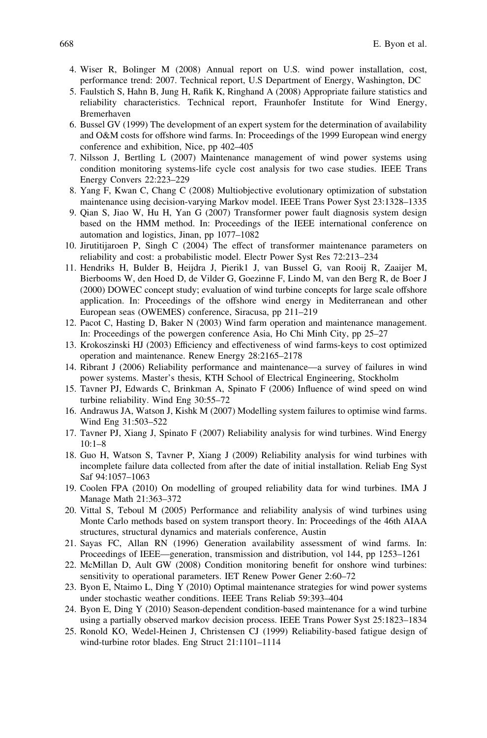- <span id="page-29-0"></span>4. Wiser R, Bolinger M (2008) Annual report on U.S. wind power installation, cost, performance trend: 2007. Technical report, U.S Department of Energy, Washington, DC
- 5. Faulstich S, Hahn B, Jung H, Rafik K, Ringhand A (2008) Appropriate failure statistics and reliability characteristics. Technical report, Fraunhofer Institute for Wind Energy, Bremerhaven
- 6. Bussel GV (1999) The development of an expert system for the determination of availability and O&M costs for offshore wind farms. In: Proceedings of the 1999 European wind energy conference and exhibition, Nice, pp 402–405
- 7. Nilsson J, Bertling L (2007) Maintenance management of wind power systems using condition monitoring systems-life cycle cost analysis for two case studies. IEEE Trans Energy Convers 22:223–229
- 8. Yang F, Kwan C, Chang C (2008) Multiobjective evolutionary optimization of substation maintenance using decision-varying Markov model. IEEE Trans Power Syst 23:1328–1335
- 9. Qian S, Jiao W, Hu H, Yan G (2007) Transformer power fault diagnosis system design based on the HMM method. In: Proceedings of the IEEE international conference on automation and logistics, Jinan, pp 1077–1082
- 10. Jirutitijaroen P, Singh C (2004) The effect of transformer maintenance parameters on reliability and cost: a probabilistic model. Electr Power Syst Res 72:213–234
- 11. Hendriks H, Bulder B, Heijdra J, Pierik1 J, van Bussel G, van Rooij R, Zaaijer M, Bierbooms W, den Hoed D, de Vilder G, Goezinne F, Lindo M, van den Berg R, de Boer J (2000) DOWEC concept study; evaluation of wind turbine concepts for large scale offshore application. In: Proceedings of the offshore wind energy in Mediterranean and other European seas (OWEMES) conference, Siracusa, pp 211–219
- 12. Pacot C, Hasting D, Baker N (2003) Wind farm operation and maintenance management. In: Proceedings of the powergen conference Asia, Ho Chi Minh City, pp 25–27
- 13. Krokoszinski HJ (2003) Efficiency and effectiveness of wind farms-keys to cost optimized operation and maintenance. Renew Energy 28:2165–2178
- 14. Ribrant J (2006) Reliability performance and maintenance—a survey of failures in wind power systems. Master's thesis, KTH School of Electrical Engineering, Stockholm
- 15. Tavner PJ, Edwards C, Brinkman A, Spinato F (2006) Influence of wind speed on wind turbine reliability. Wind Eng 30:55–72
- 16. Andrawus JA, Watson J, Kishk M (2007) Modelling system failures to optimise wind farms. Wind Eng 31:503–522
- 17. Tavner PJ, Xiang J, Spinato F (2007) Reliability analysis for wind turbines. Wind Energy 10:1–8
- 18. Guo H, Watson S, Tavner P, Xiang J (2009) Reliability analysis for wind turbines with incomplete failure data collected from after the date of initial installation. Reliab Eng Syst Saf 94:1057–1063
- 19. Coolen FPA (2010) On modelling of grouped reliability data for wind turbines. IMA J Manage Math 21:363–372
- 20. Vittal S, Teboul M (2005) Performance and reliability analysis of wind turbines using Monte Carlo methods based on system transport theory. In: Proceedings of the 46th AIAA structures, structural dynamics and materials conference, Austin
- 21. Sayas FC, Allan RN (1996) Generation availability assessment of wind farms. In: Proceedings of IEEE—generation, transmission and distribution, vol 144, pp 1253–1261
- 22. McMillan D, Ault GW (2008) Condition monitoring benefit for onshore wind turbines: sensitivity to operational parameters. IET Renew Power Gener 2:60–72
- 23. Byon E, Ntaimo L, Ding Y (2010) Optimal maintenance strategies for wind power systems under stochastic weather conditions. IEEE Trans Reliab 59:393–404
- 24. Byon E, Ding Y (2010) Season-dependent condition-based maintenance for a wind turbine using a partially observed markov decision process. IEEE Trans Power Syst 25:1823–1834
- 25. Ronold KO, Wedel-Heinen J, Christensen CJ (1999) Reliability-based fatigue design of wind-turbine rotor blades. Eng Struct 21:1101–1114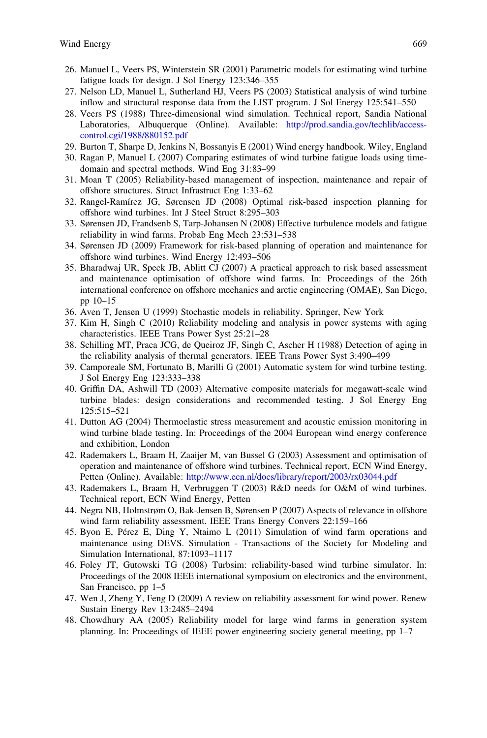- <span id="page-30-0"></span>26. Manuel L, Veers PS, Winterstein SR (2001) Parametric models for estimating wind turbine fatigue loads for design. J Sol Energy 123:346–355
- 27. Nelson LD, Manuel L, Sutherland HJ, Veers PS (2003) Statistical analysis of wind turbine inflow and structural response data from the LIST program. J Sol Energy 125:541–550
- 28. Veers PS (1988) Three-dimensional wind simulation. Technical report, Sandia National Laboratories, Albuquerque (Online). Available: [http://prod.sandia.gov/techlib/access](http://prod.sandia.gov/techlib/access-control.cgi/1988/880152.pdf)[control.cgi/1988/880152.pdf](http://prod.sandia.gov/techlib/access-control.cgi/1988/880152.pdf)
- 29. Burton T, Sharpe D, Jenkins N, Bossanyis E (2001) Wind energy handbook. Wiley, England
- 30. Ragan P, Manuel L (2007) Comparing estimates of wind turbine fatigue loads using timedomain and spectral methods. Wind Eng 31:83–99
- 31. Moan T (2005) Reliability-based management of inspection, maintenance and repair of offshore structures. Struct Infrastruct Eng 1:33–62
- 32. Rangel-Ramírez JG, Sørensen JD (2008) Optimal risk-based inspection planning for offshore wind turbines. Int J Steel Struct 8:295–303
- 33. Sørensen JD, Frandsenb S, Tarp-Johansen N (2008) Effective turbulence models and fatigue reliability in wind farms. Probab Eng Mech 23:531–538
- 34. Sørensen JD (2009) Framework for risk-based planning of operation and maintenance for offshore wind turbines. Wind Energy 12:493–506
- 35. Bharadwaj UR, Speck JB, Ablitt CJ (2007) A practical approach to risk based assessment and maintenance optimisation of offshore wind farms. In: Proceedings of the 26th international conference on offshore mechanics and arctic engineering (OMAE), San Diego, pp 10–15
- 36. Aven T, Jensen U (1999) Stochastic models in reliability. Springer, New York
- 37. Kim H, Singh C (2010) Reliability modeling and analysis in power systems with aging characteristics. IEEE Trans Power Syst 25:21–28
- 38. Schilling MT, Praca JCG, de Queiroz JF, Singh C, Ascher H (1988) Detection of aging in the reliability analysis of thermal generators. IEEE Trans Power Syst 3:490–499
- 39. Camporeale SM, Fortunato B, Marilli G (2001) Automatic system for wind turbine testing. J Sol Energy Eng 123:333–338
- 40. Griffin DA, Ashwill TD (2003) Alternative composite materials for megawatt-scale wind turbine blades: design considerations and recommended testing. J Sol Energy Eng 125:515–521
- 41. Dutton AG (2004) Thermoelastic stress measurement and acoustic emission monitoring in wind turbine blade testing. In: Proceedings of the 2004 European wind energy conference and exhibition, London
- 42. Rademakers L, Braam H, Zaaijer M, van Bussel G (2003) Assessment and optimisation of operation and maintenance of offshore wind turbines. Technical report, ECN Wind Energy, Petten (Online). Available: <http://www.ecn.nl/docs/library/report/2003/rx03044.pdf>
- 43. Rademakers L, Braam H, Verbruggen T (2003) R&D needs for O&M of wind turbines. Technical report, ECN Wind Energy, Petten
- 44. Negra NB, Holmstrøm O, Bak-Jensen B, Sørensen P (2007) Aspects of relevance in offshore wind farm reliability assessment. IEEE Trans Energy Convers 22:159–166
- 45. Byon E, Pérez E, Ding Y, Ntaimo L (2011) Simulation of wind farm operations and maintenance using DEVS. Simulation - Transactions of the Society for Modeling and Simulation International, 87:1093–1117
- 46. Foley JT, Gutowski TG (2008) Turbsim: reliability-based wind turbine simulator. In: Proceedings of the 2008 IEEE international symposium on electronics and the environment, San Francisco, pp 1–5
- 47. Wen J, Zheng Y, Feng D (2009) A review on reliability assessment for wind power. Renew Sustain Energy Rev 13:2485–2494
- 48. Chowdhury AA (2005) Reliability model for large wind farms in generation system planning. In: Proceedings of IEEE power engineering society general meeting, pp 1–7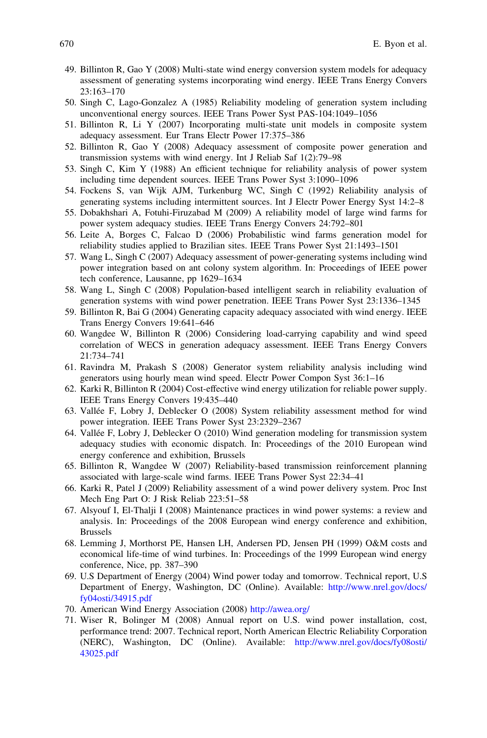- <span id="page-31-0"></span>49. Billinton R, Gao Y (2008) Multi-state wind energy conversion system models for adequacy assessment of generating systems incorporating wind energy. IEEE Trans Energy Convers 23:163–170
- 50. Singh C, Lago-Gonzalez A (1985) Reliability modeling of generation system including unconventional energy sources. IEEE Trans Power Syst PAS-104:1049–1056
- 51. Billinton R, Li Y (2007) Incorporating multi-state unit models in composite system adequacy assessment. Eur Trans Electr Power 17:375–386
- 52. Billinton R, Gao Y (2008) Adequacy assessment of composite power generation and transmission systems with wind energy. Int J Reliab Saf 1(2):79–98
- 53. Singh C, Kim Y (1988) An efficient technique for reliability analysis of power system including time dependent sources. IEEE Trans Power Syst 3:1090–1096
- 54. Fockens S, van Wijk AJM, Turkenburg WC, Singh C (1992) Reliability analysis of generating systems including intermittent sources. Int J Electr Power Energy Syst 14:2–8
- 55. Dobakhshari A, Fotuhi-Firuzabad M (2009) A reliability model of large wind farms for power system adequacy studies. IEEE Trans Energy Convers 24:792–801
- 56. Leite A, Borges C, Falcao D (2006) Probabilistic wind farms generation model for reliability studies applied to Brazilian sites. IEEE Trans Power Syst 21:1493–1501
- 57. Wang L, Singh C (2007) Adequacy assessment of power-generating systems including wind power integration based on ant colony system algorithm. In: Proceedings of IEEE power tech conference, Lausanne, pp 1629–1634
- 58. Wang L, Singh C (2008) Population-based intelligent search in reliability evaluation of generation systems with wind power penetration. IEEE Trans Power Syst 23:1336–1345
- 59. Billinton R, Bai G (2004) Generating capacity adequacy associated with wind energy. IEEE Trans Energy Convers 19:641–646
- 60. Wangdee W, Billinton R (2006) Considering load-carrying capability and wind speed correlation of WECS in generation adequacy assessment. IEEE Trans Energy Convers 21:734–741
- 61. Ravindra M, Prakash S (2008) Generator system reliability analysis including wind generators using hourly mean wind speed. Electr Power Compon Syst 36:1–16
- 62. Karki R, Billinton R (2004) Cost-effective wind energy utilization for reliable power supply. IEEE Trans Energy Convers 19:435–440
- 63. Vallée F, Lobry J, Deblecker O (2008) System reliability assessment method for wind power integration. IEEE Trans Power Syst 23:2329–2367
- 64. Vallée F, Lobry J, Deblecker O (2010) Wind generation modeling for transmission system adequacy studies with economic dispatch. In: Proceedings of the 2010 European wind energy conference and exhibition, Brussels
- 65. Billinton R, Wangdee W (2007) Reliability-based transmission reinforcement planning associated with large-scale wind farms. IEEE Trans Power Syst 22:34–41
- 66. Karki R, Patel J (2009) Reliability assessment of a wind power delivery system. Proc Inst Mech Eng Part O: J Risk Reliab 223:51–58
- 67. Alsyouf I, El-Thalji I (2008) Maintenance practices in wind power systems: a review and analysis. In: Proceedings of the 2008 European wind energy conference and exhibition, Brussels
- 68. Lemming J, Morthorst PE, Hansen LH, Andersen PD, Jensen PH (1999) O&M costs and economical life-time of wind turbines. In: Proceedings of the 1999 European wind energy conference, Nice, pp. 387–390
- 69. U.S Department of Energy (2004) Wind power today and tomorrow. Technical report, U.S Department of Energy, Washington, DC (Online). Available: [http://www.nrel.gov/docs/](http://www.nrel.gov/docs/fy04osti/34915.pdf) [fy04osti/34915.pdf](http://www.nrel.gov/docs/fy04osti/34915.pdf)
- 70. American Wind Energy Association (2008) <http://awea.org/>
- 71. Wiser R, Bolinger M (2008) Annual report on U.S. wind power installation, cost, performance trend: 2007. Technical report, North American Electric Reliability Corporation (NERC), Washington, DC (Online). Available: [http://www.nrel.gov/docs/fy08osti/](http://www.nrel.gov/docs/fy08osti/43025.pdf) [43025.pdf](http://www.nrel.gov/docs/fy08osti/43025.pdf)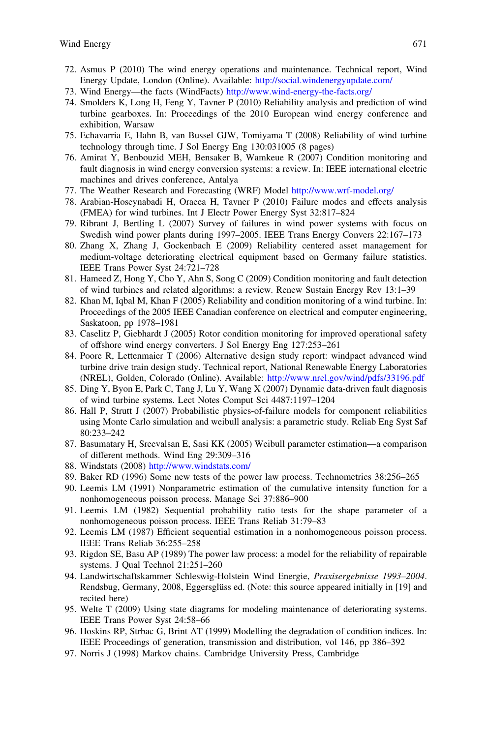- <span id="page-32-0"></span>72. Asmus P (2010) The wind energy operations and maintenance. Technical report, Wind Energy Update, London (Online). Available: <http://social.windenergyupdate.com/>
- 73. Wind Energy—the facts (WindFacts) <http://www.wind-energy-the-facts.org/>
- 74. Smolders K, Long H, Feng Y, Tavner P (2010) Reliability analysis and prediction of wind turbine gearboxes. In: Proceedings of the 2010 European wind energy conference and exhibition, Warsaw
- 75. Echavarria E, Hahn B, van Bussel GJW, Tomiyama T (2008) Reliability of wind turbine technology through time. J Sol Energy Eng 130:031005 (8 pages)
- 76. Amirat Y, Benbouzid MEH, Bensaker B, Wamkeue R (2007) Condition monitoring and fault diagnosis in wind energy conversion systems: a review. In: IEEE international electric machines and drives conference, Antalya
- 77. The Weather Research and Forecasting (WRF) Model <http://www.wrf-model.org/>
- 78. Arabian-Hoseynabadi H, Oraeea H, Tavner P (2010) Failure modes and effects analysis (FMEA) for wind turbines. Int J Electr Power Energy Syst 32:817–824
- 79. Ribrant J, Bertling L (2007) Survey of failures in wind power systems with focus on Swedish wind power plants during 1997–2005. IEEE Trans Energy Convers 22:167–173
- 80. Zhang X, Zhang J, Gockenbach E (2009) Reliability centered asset management for medium-voltage deteriorating electrical equipment based on Germany failure statistics. IEEE Trans Power Syst 24:721–728
- 81. Hameed Z, Hong Y, Cho Y, Ahn S, Song C (2009) Condition monitoring and fault detection of wind turbines and related algorithms: a review. Renew Sustain Energy Rev 13:1–39
- 82. Khan M, Iqbal M, Khan F (2005) Reliability and condition monitoring of a wind turbine. In: Proceedings of the 2005 IEEE Canadian conference on electrical and computer engineering, Saskatoon, pp 1978–1981
- 83. Caselitz P, Giebhardt J (2005) Rotor condition monitoring for improved operational safety of offshore wind energy converters. J Sol Energy Eng 127:253–261
- 84. Poore R, Lettenmaier T (2006) Alternative design study report: windpact advanced wind turbine drive train design study. Technical report, National Renewable Energy Laboratories (NREL), Golden, Colorado (Online). Available: <http://www.nrel.gov/wind/pdfs/33196.pdf>
- 85. Ding Y, Byon E, Park C, Tang J, Lu Y, Wang X (2007) Dynamic data-driven fault diagnosis of wind turbine systems. Lect Notes Comput Sci 4487:1197–1204
- 86. Hall P, Strutt J (2007) Probabilistic physics-of-failure models for component reliabilities using Monte Carlo simulation and weibull analysis: a parametric study. Reliab Eng Syst Saf 80:233–242
- 87. Basumatary H, Sreevalsan E, Sasi KK (2005) Weibull parameter estimation—a comparison of different methods. Wind Eng 29:309–316
- 88. Windstats (2008) <http://www.windstats.com/>
- 89. Baker RD (1996) Some new tests of the power law process. Technometrics 38:256–265
- 90. Leemis LM (1991) Nonparametric estimation of the cumulative intensity function for a nonhomogeneous poisson process. Manage Sci 37:886–900
- 91. Leemis LM (1982) Sequential probability ratio tests for the shape parameter of a nonhomogeneous poisson process. IEEE Trans Reliab 31:79–83
- 92. Leemis LM (1987) Efficient sequential estimation in a nonhomogeneous poisson process. IEEE Trans Reliab 36:255–258
- 93. Rigdon SE, Basu AP (1989) The power law process: a model for the reliability of repairable systems. J Qual Technol 21:251–260
- 94. Landwirtschaftskammer Schleswig-Holstein Wind Energie, Praxisergebnisse 1993–2004. Rendsbug, Germany, 2008, Eggersglüss ed. (Note: this source appeared initially in [19] and recited here)
- 95. Welte T (2009) Using state diagrams for modeling maintenance of deteriorating systems. IEEE Trans Power Syst 24:58–66
- 96. Hoskins RP, Strbac G, Brint AT (1999) Modelling the degradation of condition indices. In: IEEE Proceedings of generation, transmission and distribution, vol 146, pp 386–392
- 97. Norris J (1998) Markov chains. Cambridge University Press, Cambridge